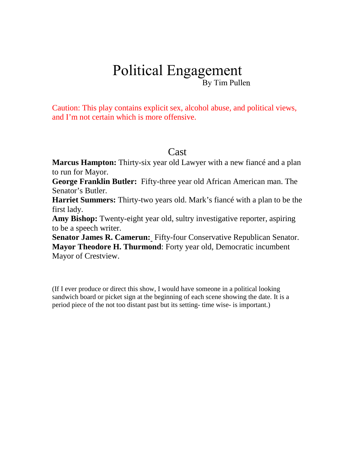# Political Engagement By Tim Pullen

Caution: This play contains explicit sex, alcohol abuse, and political views, and I'm not certain which is more offensive.

#### Cast

**Marcus Hampton:** Thirty-six year old Lawyer with a new fiancé and a plan to run for Mayor.

**George Franklin Butler:** Fifty-three year old African American man. The Senator's Butler.

**Harriet Summers:** Thirty-two years old. Mark's fiancé with a plan to be the first lady.

**Amy Bishop:** Twenty-eight year old, sultry investigative reporter, aspiring to be a speech writer.

**Senator James R. Camerun:** Fifty-four Conservative Republican Senator. **Mayor Theodore H. Thurmond**: Forty year old, Democratic incumbent Mayor of Crestview.

(If I ever produce or direct this show, I would have someone in a political looking sandwich board or picket sign at the beginning of each scene showing the date. It is a period piece of the not too distant past but its setting- time wise- is important.)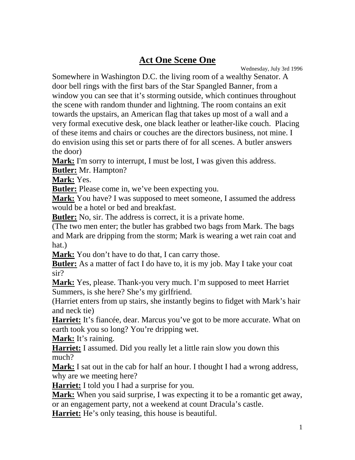#### **Act One Scene One**

Wednesday, July 3rd 1996

Somewhere in Washington D.C. the living room of a wealthy Senator. A door bell rings with the first bars of the Star Spangled Banner, from a window you can see that it's storming outside, which continues throughout the scene with random thunder and lightning. The room contains an exit towards the upstairs, an American flag that takes up most of a wall and a very formal executive desk, one black leather or leather-like couch. Placing of these items and chairs or couches are the directors business, not mine. I do envision using this set or parts there of for all scenes. A butler answers the door)

**Mark:** I'm sorry to interrupt, I must be lost, I was given this address.

**Butler:** Mr. Hampton?

**Mark:** Yes.

**Butler:** Please come in, we've been expecting you.

**Mark:** You have? I was supposed to meet someone, I assumed the address would be a hotel or bed and breakfast.

**Butler:** No, sir. The address is correct, it is a private home.

(The two men enter; the butler has grabbed two bags from Mark. The bags and Mark are dripping from the storm; Mark is wearing a wet rain coat and hat.)

**Mark:** You don't have to do that, I can carry those.

**Butler:** As a matter of fact I do have to, it is my job. May I take your coat sir?

**Mark:** Yes, please. Thank-you very much. I'm supposed to meet Harriet Summers, is she here? She's my girlfriend.

(Harriet enters from up stairs, she instantly begins to fidget with Mark's hair and neck tie)

**Harriet:** It's fiancée, dear. Marcus you've got to be more accurate. What on earth took you so long? You're dripping wet.

**Mark:** It's raining.

**Harriet:** I assumed. Did you really let a little rain slow you down this much?

**Mark:** I sat out in the cab for half an hour. I thought I had a wrong address, why are we meeting here?

**Harriet:** I told you I had a surprise for you.

**Mark:** When you said surprise, I was expecting it to be a romantic get away, or an engagement party, not a weekend at count Dracula's castle.

**Harriet:** He's only teasing, this house is beautiful.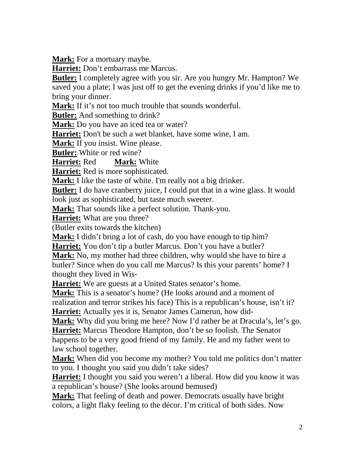**Mark:** For a mortuary maybe.

**Harriet:** Don't embarrass me Marcus.

**Butler:** I completely agree with you sir. Are you hungry Mr. Hampton? We saved you a plate; I was just off to get the evening drinks if you'd like me to bring your dinner.

**Mark:** If it's not too much trouble that sounds wonderful.

**Butler:** And something to drink?

**Mark:** Do you have an iced tea or water?

**Harriet:** Don't be such a wet blanket, have some wine, I am.

**Mark:** If you insist. Wine please.

**Butler:** White or red wine?

**Harriet:** Red **Mark:** White

**Harriet:** Red is more sophisticated.

**Mark:** I like the taste of white. I'm really not a big drinker.

**Butler:** I do have cranberry juice, I could put that in a wine glass. It would

look just as sophisticated, but taste much sweeter.

**Mark:** That sounds like a perfect solution. Thank-you.

**Harriet:** What are you three?

(Butler exits towards the kitchen)

Mark: I didn't bring a lot of cash, do you have enough to tip him?

**Harriet:** You don't tip a butler Marcus. Don't you have a butler?

**Mark:** No, my mother had three children, why would she have to hire a butler? Since when do you call me Marcus? Is this your parents' home? I thought they lived in Wis-

**Harriet:** We are guests at a United States senator's home.

**Mark:** This is a senator's home? (He looks around and a moment of realization and terror strikes his face) This is a republican's house, isn't it? **Harriet:** Actually yes it is, Senator James Camerun, how did-

**Mark:** Why did you bring me here? Now I'd rather be at Dracula's, let's go. **Harriet:** Marcus Theodore Hampton, don't be so foolish. The Senator

happens to be a very good friend of my family. He and my father went to law school together.

**Mark:** When did you become my mother? You told me politics don't matter to you. I thought you said you didn't take sides?

**Harriet:** I thought you said you weren't a liberal. How did you know it was a republican's house? (She looks around bemused)

**Mark:** That feeling of death and power. Democrats usually have bright colors, a light flaky feeling to the décor. I'm critical of both sides. Now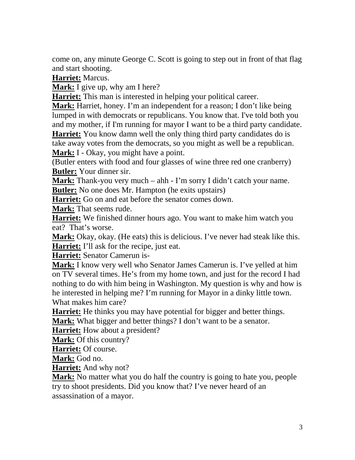come on, any minute George C. Scott is going to step out in front of that flag and start shooting.

**Harriet:** Marcus.

**Mark:** I give up, why am I here?

**Harriet:** This man is interested in helping your political career.

**Mark:** Harriet, honey. I'm an independent for a reason; I don't like being lumped in with democrats or republicans. You know that. I've told both you and my mother, if I'm running for mayor I want to be a third party candidate.

**Harriet:** You know damn well the only thing third party candidates do is take away votes from the democrats, so you might as well be a republican. **Mark:** I - Okay, you might have a point.

(Butler enters with food and four glasses of wine three red one cranberry) **Butler:** Your dinner sir.

**Mark:** Thank-you very much – ahh - I'm sorry I didn't catch your name. **Butler:** No one does Mr. Hampton (he exits upstairs)

**Harriet:** Go on and eat before the senator comes down.

**Mark:** That seems rude.

**Harriet:** We finished dinner hours ago. You want to make him watch you eat? That's worse.

**Mark:** Okay, okay. (He eats) this is delicious. I've never had steak like this. **Harriet:** I'll ask for the recipe, just eat.

**Harriet:** Senator Camerun is-

**Mark:** I know very well who Senator James Camerun is. I've yelled at him on TV several times. He's from my home town, and just for the record I had nothing to do with him being in Washington. My question is why and how is he interested in helping me? I'm running for Mayor in a dinky little town. What makes him care?

**Harriet:** He thinks you may have potential for bigger and better things.

**Mark:** What bigger and better things? I don't want to be a senator.

**Harriet:** How about a president?

**Mark:** Of this country?

**Harriet:** Of course.

**Mark:** God no.

**Harriet:** And why not?

**Mark:** No matter what you do half the country is going to hate you, people try to shoot presidents. Did you know that? I've never heard of an assassination of a mayor.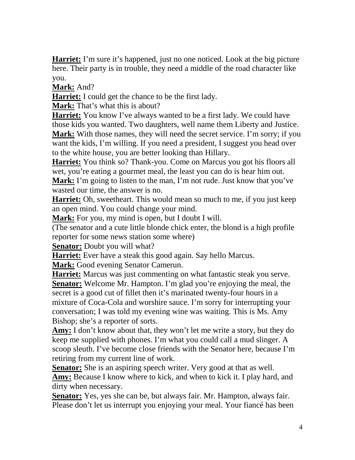**Harriet:** I'm sure it's happened, just no one noticed. Look at the big picture here. Their party is in trouble, they need a middle of the road character like you.

**Mark:** And?

**Harriet:** I could get the chance to be the first lady.

**Mark:** That's what this is about?

**Harriet:** You know I've always wanted to be a first lady. We could have those kids you wanted. Two daughters, well name them Liberty and Justice. **Mark:** With those names, they will need the secret service. I'm sorry; if you want the kids, I'm willing. If you need a president, I suggest you head over to the white house, you are better looking than Hillary.

**Harriet:** You think so? Thank-you. Come on Marcus you got his floors all wet, you're eating a gourmet meal, the least you can do is hear him out.

**Mark:** I'm going to listen to the man, I'm not rude. Just know that you've wasted our time, the answer is no.

**Harriet:** Oh, sweetheart. This would mean so much to me, if you just keep an open mind. You could change your mind.

**Mark:** For you, my mind is open, but I doubt I will.

(The senator and a cute little blonde chick enter, the blond is a high profile reporter for some news station some where)

**Senator:** Doubt you will what?

**Harriet:** Ever have a steak this good again. Say hello Marcus.

**Mark:** Good evening Senator Camerun.

**Harriet:** Marcus was just commenting on what fantastic steak you serve. **Senator:** Welcome Mr. Hampton. I'm glad you're enjoying the meal, the secret is a good cut of fillet then it's marinated twenty-four hours in a mixture of Coca-Cola and worshire sauce. I'm sorry for interrupting your conversation; I was told my evening wine was waiting. This is Ms. Amy Bishop; she's a reporter of sorts.

**Amy:** I don't know about that, they won't let me write a story, but they do keep me supplied with phones. I'm what you could call a mud slinger. A scoop sleuth. I've become close friends with the Senator here, because I'm retiring from my current line of work.

**Senator:** She is an aspiring speech writer. Very good at that as well. **Amy:** Because I know where to kick, and when to kick it. I play hard, and dirty when necessary.

Senator: Yes, yes she can be, but always fair. Mr. Hampton, always fair. Please don't let us interrupt you enjoying your meal. Your fiancé has been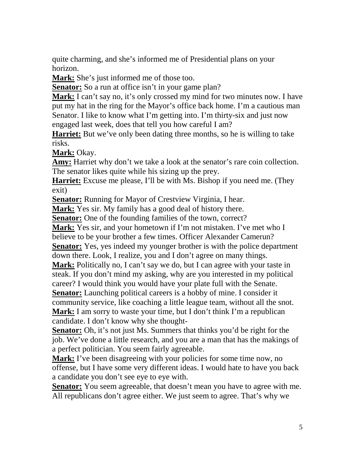quite charming, and she's informed me of Presidential plans on your horizon.

**Mark:** She's just informed me of those too.

Senator: So a run at office isn't in your game plan?

**Mark:** I can't say no, it's only crossed my mind for two minutes now. I have put my hat in the ring for the Mayor's office back home. I'm a cautious man Senator. I like to know what I'm getting into. I'm thirty-six and just now engaged last week, does that tell you how careful I am?

**Harriet:** But we've only been dating three months, so he is willing to take risks.

**Mark:** Okay.

**Amy:** Harriet why don't we take a look at the senator's rare coin collection. The senator likes quite while his sizing up the prey.

**Harriet:** Excuse me please, I'll be with Ms. Bishop if you need me. (They exit)

**Senator:** Running for Mayor of Crestview Virginia, I hear.

**Mark:** Yes sir. My family has a good deal of history there.

**Senator:** One of the founding families of the town, correct?

**Mark:** Yes sir, and your hometown if I'm not mistaken. I've met who I

believe to be your brother a few times. Officer Alexander Camerun?

**Senator:** Yes, yes indeed my younger brother is with the police department down there. Look, I realize, you and I don't agree on many things.

**Mark:** Politically no, I can't say we do, but I can agree with your taste in steak. If you don't mind my asking, why are you interested in my political career? I would think you would have your plate full with the Senate.

**Senator:** Launching political careers is a hobby of mine. I consider it

community service, like coaching a little league team, without all the snot.

Mark: I am sorry to waste your time, but I don't think I'm a republican candidate. I don't know why she thought-

**Senator:** Oh, it's not just Ms. Summers that thinks you'd be right for the job. We've done a little research, and you are a man that has the makings of a perfect politician. You seem fairly agreeable.

**Mark:** I've been disagreeing with your policies for some time now, no offense, but I have some very different ideas. I would hate to have you back a candidate you don't see eye to eye with.

**Senator:** You seem agreeable, that doesn't mean you have to agree with me. All republicans don't agree either. We just seem to agree. That's why we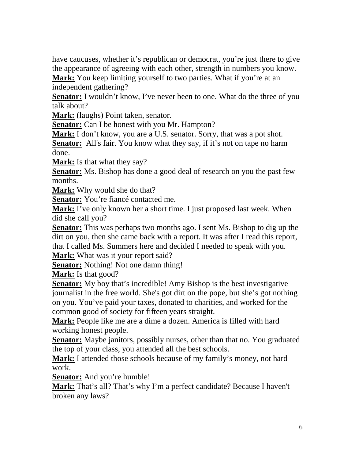have caucuses, whether it's republican or democrat, you're just there to give the appearance of agreeing with each other, strength in numbers you know.

**Mark:** You keep limiting yourself to two parties. What if you're at an independent gathering?

**Senator:** I wouldn't know, I've never been to one. What do the three of you talk about?

**Mark:** (laughs) Point taken, senator.

**Senator:** Can I be honest with you Mr. Hampton?

**Mark:** I don't know, you are a U.S. senator. Sorry, that was a pot shot.

**Senator:** All's fair. You know what they say, if it's not on tape no harm done.

**Mark:** Is that what they say?

**Senator:** Ms. Bishop has done a good deal of research on you the past few months.

**Mark:** Why would she do that?

**Senator:** You're fiancé contacted me.

**Mark:** I've only known her a short time. I just proposed last week. When did she call you?

**Senator:** This was perhaps two months ago. I sent Ms. Bishop to dig up the dirt on you, then she came back with a report. It was after I read this report, that I called Ms. Summers here and decided I needed to speak with you.

**Mark:** What was it your report said?

**Senator:** Nothing! Not one damn thing!

**Mark:** Is that good?

**Senator:** My boy that's incredible! Amy Bishop is the best investigative journalist in the free world. She's got dirt on the pope, but she's got nothing on you. You've paid your taxes, donated to charities, and worked for the common good of society for fifteen years straight.

**Mark:** People like me are a dime a dozen. America is filled with hard working honest people.

**Senator:** Maybe janitors, possibly nurses, other than that no. You graduated the top of your class, you attended all the best schools.

**Mark:** I attended those schools because of my family's money, not hard work.

**Senator:** And you're humble!

**Mark:** That's all? That's why I'm a perfect candidate? Because I haven't broken any laws?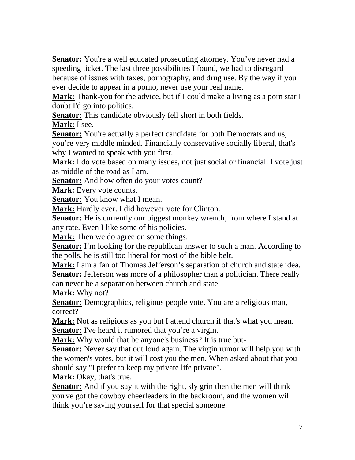**Senator:** You're a well educated prosecuting attorney. You've never had a speeding ticket. The last three possibilities I found, we had to disregard because of issues with taxes, pornography, and drug use. By the way if you ever decide to appear in a porno, never use your real name.

**Mark:** Thank-you for the advice, but if I could make a living as a porn star I doubt I'd go into politics.

**Senator:** This candidate obviously fell short in both fields.

**Mark:** I see.

**Senator:** You're actually a perfect candidate for both Democrats and us, you're very middle minded. Financially conservative socially liberal, that's why I wanted to speak with you first.

**Mark:** I do vote based on many issues, not just social or financial. I vote just as middle of the road as I am.

**Senator:** And how often do your votes count?

**Mark:** Every vote counts.

**Senator:** You know what I mean.

**Mark:** Hardly ever. I did however vote for Clinton.

**Senator:** He is currently our biggest monkey wrench, from where I stand at any rate. Even I like some of his policies.

**Mark:** Then we do agree on some things.

**Senator:** I'm looking for the republican answer to such a man. According to the polls, he is still too liberal for most of the bible belt.

**Mark:** I am a fan of Thomas Jefferson's separation of church and state idea. **Senator:** Jefferson was more of a philosopher than a politician. There really can never be a separation between church and state.

**Mark:** Why not?

**Senator:** Demographics, religious people vote. You are a religious man, correct?

**Mark:** Not as religious as you but I attend church if that's what you mean. **Senator:** I've heard it rumored that you're a virgin.

**Mark:** Why would that be anyone's business? It is true but-

**Senator:** Never say that out loud again. The virgin rumor will help you with the women's votes, but it will cost you the men. When asked about that you should say "I prefer to keep my private life private".

**Mark:** Okay, that's true.

**Senator:** And if you say it with the right, sly grin then the men will think you've got the cowboy cheerleaders in the backroom, and the women will think you're saving yourself for that special someone.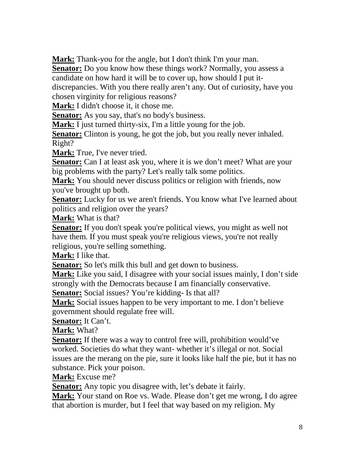**Mark:** Thank-you for the angle, but I don't think I'm your man.

**Senator:** Do you know how these things work? Normally, you assess a candidate on how hard it will be to cover up, how should I put itdiscrepancies. With you there really aren't any. Out of curiosity, have you

chosen virginity for religious reasons?

**Mark:** I didn't choose it, it chose me.

Senator: As you say, that's no body's business.

**Mark:** I just turned thirty-six, I'm a little young for the job.

**Senator:** Clinton is young, he got the job, but you really never inhaled. Right?

**Mark:** True, I've never tried.

**Senator:** Can I at least ask you, where it is we don't meet? What are your big problems with the party? Let's really talk some politics.

**Mark:** You should never discuss politics or religion with friends, now you've brought up both.

**Senator:** Lucky for us we aren't friends. You know what I've learned about politics and religion over the years?

**Mark:** What is that?

**Senator:** If you don't speak you're political views, you might as well not have them. If you must speak you're religious views, you're not really religious, you're selling something.

**Mark:** I like that.

**Senator:** So let's milk this bull and get down to business.

**Mark:** Like you said, I disagree with your social issues mainly, I don't side strongly with the Democrats because I am financially conservative.

**Senator:** Social issues? You're kidding- Is that all?

**Mark:** Social issues happen to be very important to me. I don't believe government should regulate free will.

**Senator:** It Can't.

**Mark:** What?

**<u>Senator:</u>** If there was a way to control free will, prohibition would've worked. Societies do what they want- whether it's illegal or not. Social issues are the merang on the pie, sure it looks like half the pie, but it has no substance. Pick your poison.

**Mark:** Excuse me?

**Senator:** Any topic you disagree with, let's debate it fairly.

**Mark:** Your stand on Roe vs. Wade. Please don't get me wrong, I do agree that abortion is murder, but I feel that way based on my religion. My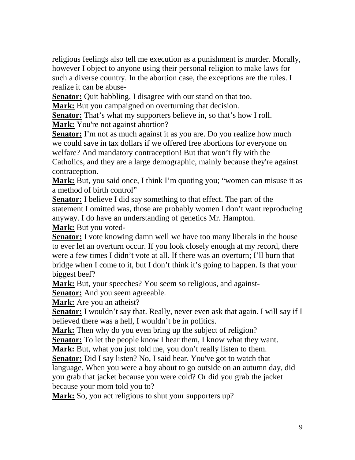religious feelings also tell me execution as a punishment is murder. Morally, however I object to anyone using their personal religion to make laws for such a diverse country. In the abortion case, the exceptions are the rules. I realize it can be abuse-

**Senator:** Quit babbling, I disagree with our stand on that too.

**Mark:** But you campaigned on overturning that decision.

**Senator:** That's what my supporters believe in, so that's how I roll.

**Mark:** You're not against abortion?

**Senator:** I'm not as much against it as you are. Do you realize how much we could save in tax dollars if we offered free abortions for everyone on welfare? And mandatory contraception! But that won't fly with the Catholics, and they are a large demographic, mainly because they're against contraception.

**Mark:** But, you said once, I think I'm quoting you; "women can misuse it as a method of birth control"

**Senator:** I believe I did say something to that effect. The part of the statement I omitted was, those are probably women I don't want reproducing anyway. I do have an understanding of genetics Mr. Hampton.

**Mark:** But you voted-

**Senator:** I vote knowing damn well we have too many liberals in the house to ever let an overturn occur. If you look closely enough at my record, there were a few times I didn't vote at all. If there was an overturn; I'll burn that bridge when I come to it, but I don't think it's going to happen. Is that your biggest beef?

**Mark:** But, your speeches? You seem so religious, and against-**Senator:** And you seem agreeable.

**Mark:** Are you an atheist?

Senator: I wouldn't say that. Really, never even ask that again. I will say if I believed there was a hell, I wouldn't be in politics.

**Mark:** Then why do you even bring up the subject of religion?

**Senator:** To let the people know I hear them, I know what they want.

**Mark:** But, what you just told me, you don't really listen to them.

**Senator:** Did I say listen? No, I said hear. You've got to watch that language. When you were a boy about to go outside on an autumn day, did you grab that jacket because you were cold? Or did you grab the jacket because your mom told you to?

**Mark:** So, you act religious to shut your supporters up?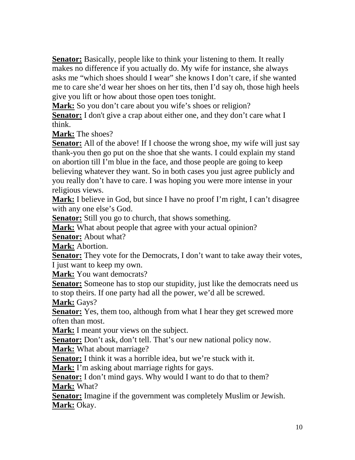**Senator:** Basically, people like to think your listening to them. It really makes no difference if you actually do. My wife for instance, she always asks me "which shoes should I wear" she knows I don't care, if she wanted me to care she'd wear her shoes on her tits, then I'd say oh, those high heels give you lift or how about those open toes tonight.

Mark: So you don't care about you wife's shoes or religion?

**Senator:** I don't give a crap about either one, and they don't care what I think.

**Mark:** The shoes?

**Senator:** All of the above! If I choose the wrong shoe, my wife will just say thank-you then go put on the shoe that she wants. I could explain my stand on abortion till I'm blue in the face, and those people are going to keep believing whatever they want. So in both cases you just agree publicly and you really don't have to care. I was hoping you were more intense in your religious views.

**Mark:** I believe in God, but since I have no proof I'm right, I can't disagree with any one else's God.

**Senator:** Still you go to church, that shows something.

**Mark:** What about people that agree with your actual opinion?

**Senator:** About what?

**Mark:** Abortion.

**Senator:** They vote for the Democrats, I don't want to take away their votes, I just want to keep my own.

**Mark:** You want democrats?

**Senator:** Someone has to stop our stupidity, just like the democrats need us to stop theirs. If one party had all the power, we'd all be screwed.

**Mark:** Gays?

**Senator:** Yes, them too, although from what I hear they get screwed more often than most.

**Mark:** I meant your views on the subject.

Senator: Don't ask, don't tell. That's our new national policy now.

**Mark:** What about marriage?

**Senator:** I think it was a horrible idea, but we're stuck with it.

**Mark:** I'm asking about marriage rights for gays.

**Senator:** I don't mind gays. Why would I want to do that to them? **Mark:** What?

**Senator:** Imagine if the government was completely Muslim or Jewish. **Mark:** Okay.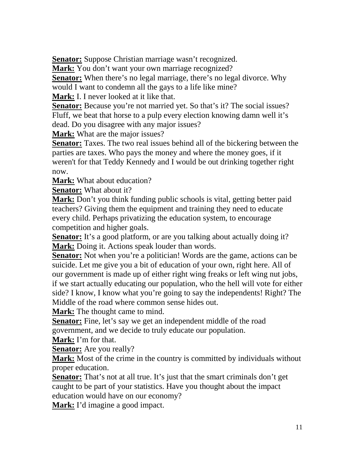**Senator:** Suppose Christian marriage wasn't recognized.

**Mark:** You don't want your own marriage recognized?

**Senator:** When there's no legal marriage, there's no legal divorce. Why would I want to condemn all the gays to a life like mine?

**Mark:** I. I never looked at it like that.

**Senator:** Because you're not married yet. So that's it? The social issues? Fluff, we beat that horse to a pulp every election knowing damn well it's dead. Do you disagree with any major issues?

**Mark:** What are the major issues?

**Senator:** Taxes. The two real issues behind all of the bickering between the parties are taxes. Who pays the money and where the money goes, if it weren't for that Teddy Kennedy and I would be out drinking together right now.

**Mark:** What about education?

**Senator:** What about it?

**Mark:** Don't you think funding public schools is vital, getting better paid teachers? Giving them the equipment and training they need to educate every child. Perhaps privatizing the education system, to encourage competition and higher goals.

**Senator:** It's a good platform, or are you talking about actually doing it? **Mark:** Doing it. Actions speak louder than words.

**Senator:** Not when you're a politician! Words are the game, actions can be suicide. Let me give you a bit of education of your own, right here. All of our government is made up of either right wing freaks or left wing nut jobs, if we start actually educating our population, who the hell will vote for either side? I know, I know what you're going to say the independents! Right? The Middle of the road where common sense hides out.

**Mark:** The thought came to mind.

**<u>Senator:</u>** Fine, let's say we get an independent middle of the road government, and we decide to truly educate our population.

**Mark:** I'm for that.

**Senator:** Are you really?

**Mark:** Most of the crime in the country is committed by individuals without proper education.

**Senator:** That's not at all true. It's just that the smart criminals don't get caught to be part of your statistics. Have you thought about the impact education would have on our economy?

**Mark:** I'd imagine a good impact.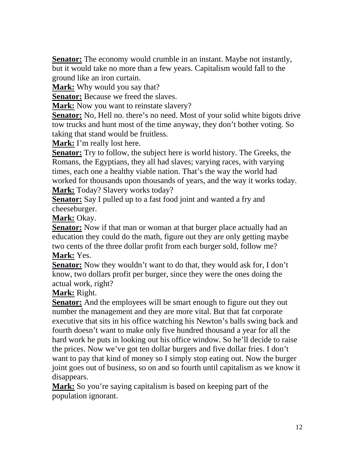**Senator:** The economy would crumble in an instant. Maybe not instantly, but it would take no more than a few years. Capitalism would fall to the ground like an iron curtain.

**Mark:** Why would you say that?

**Senator:** Because we freed the slaves.

**Mark:** Now you want to reinstate slavery?

**Senator:** No, Hell no. there's no need. Most of your solid white bigots drive tow trucks and hunt most of the time anyway, they don't bother voting. So taking that stand would be fruitless.

**Mark:** I'm really lost here.

**Senator:** Try to follow, the subject here is world history. The Greeks, the Romans, the Egyptians, they all had slaves; varying races, with varying times, each one a healthy viable nation. That's the way the world had worked for thousands upon thousands of years, and the way it works today. **Mark:** Today? Slavery works today?

**Senator:** Say I pulled up to a fast food joint and wanted a fry and cheeseburger.

**Mark:** Okay.

**Senator:** Now if that man or woman at that burger place actually had an education they could do the math, figure out they are only getting maybe two cents of the three dollar profit from each burger sold, follow me? **Mark:** Yes.

**Senator:** Now they wouldn't want to do that, they would ask for, I don't know, two dollars profit per burger, since they were the ones doing the actual work, right?

**Mark:** Right.

**<u>Senator:</u>** And the employees will be smart enough to figure out they out number the management and they are more vital. But that fat corporate executive that sits in his office watching his Newton's balls swing back and fourth doesn't want to make only five hundred thousand a year for all the hard work he puts in looking out his office window. So he'll decide to raise the prices. Now we've got ten dollar burgers and five dollar fries. I don't want to pay that kind of money so I simply stop eating out. Now the burger joint goes out of business, so on and so fourth until capitalism as we know it disappears.

**Mark:** So you're saying capitalism is based on keeping part of the population ignorant.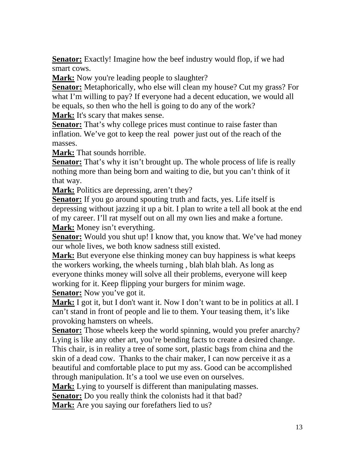**<u>Senator:</u>** Exactly! Imagine how the beef industry would flop, if we had smart cows.

**Mark:** Now you're leading people to slaughter?

**Senator:** Metaphorically, who else will clean my house? Cut my grass? For what I'm willing to pay? If everyone had a decent education, we would all be equals, so then who the hell is going to do any of the work?

**Mark:** It's scary that makes sense.

**<u>Senator:</u>** That's why college prices must continue to raise faster than inflation. We've got to keep the real power just out of the reach of the masses.

**Mark:** That sounds horrible.

**Senator:** That's why it isn't brought up. The whole process of life is really nothing more than being born and waiting to die, but you can't think of it that way.

**Mark:** Politics are depressing, aren't they?

**Senator:** If you go around spouting truth and facts, yes. Life itself is depressing without jazzing it up a bit. I plan to write a tell all book at the end of my career. I'll rat myself out on all my own lies and make a fortune. **Mark:** Money isn't everything.

**Senator:** Would you shut up! I know that, you know that. We've had money our whole lives, we both know sadness still existed.

**Mark:** But everyone else thinking money can buy happiness is what keeps the workers working, the wheels turning , blah blah blah. As long as everyone thinks money will solve all their problems, everyone will keep working for it. Keep flipping your burgers for minim wage.

**Senator:** Now you've got it.

**Mark:** I got it, but I don't want it. Now I don't want to be in politics at all. I can't stand in front of people and lie to them. Your teasing them, it's like provoking hamsters on wheels.

**Senator:** Those wheels keep the world spinning, would you prefer anarchy? Lying is like any other art, you're bending facts to create a desired change. This chair, is in reality a tree of some sort, plastic bags from china and the skin of a dead cow. Thanks to the chair maker, I can now perceive it as a beautiful and comfortable place to put my ass. Good can be accomplished through manipulation. It's a tool we use even on ourselves.

**Mark:** Lying to yourself is different than manipulating masses.

**Senator:** Do you really think the colonists had it that bad?

**Mark:** Are you saying our forefathers lied to us?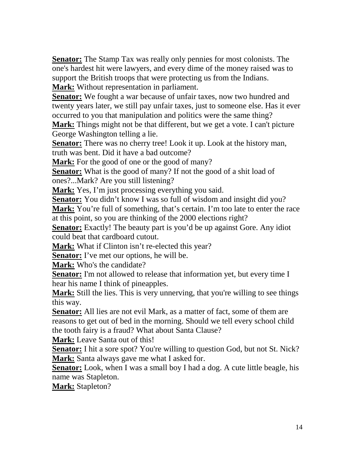**Senator:** The Stamp Tax was really only pennies for most colonists. The one's hardest hit were lawyers, and every dime of the money raised was to support the British troops that were protecting us from the Indians. **Mark:** Without representation in parliament.

**Senator:** We fought a war because of unfair taxes, now two hundred and twenty years later, we still pay unfair taxes, just to someone else. Has it ever occurred to you that manipulation and politics were the same thing?

**Mark:** Things might not be that different, but we get a vote. I can't picture George Washington telling a lie.

**Senator:** There was no cherry tree! Look it up. Look at the history man, truth was bent. Did it have a bad outcome?

**Mark:** For the good of one or the good of many?

**Senator:** What is the good of many? If not the good of a shit load of ones?...Mark? Are you still listening?

**Mark:** Yes, I'm just processing everything you said.

**Senator:** You didn't know I was so full of wisdom and insight did you?

Mark: You're full of something, that's certain. I'm too late to enter the race at this point, so you are thinking of the 2000 elections right?

**Senator:** Exactly! The beauty part is you'd be up against Gore. Any idiot could beat that cardboard cutout.

**Mark:** What if Clinton isn't re-elected this year?

Senator: I've met our options, he will be.

**Mark:** Who's the candidate?

**Senator:** I'm not allowed to release that information yet, but every time I hear his name I think of pineapples.

**Mark:** Still the lies. This is very unnerving, that you're willing to see things this way.

**Senator:** All lies are not evil Mark, as a matter of fact, some of them are reasons to get out of bed in the morning. Should we tell every school child the tooth fairy is a fraud? What about Santa Clause?

**Mark:** Leave Santa out of this!

**Senator:** I hit a sore spot? You're willing to question God, but not St. Nick? **Mark:** Santa always gave me what I asked for.

**Senator:** Look, when I was a small boy I had a dog. A cute little beagle, his name was Stapleton.

**Mark:** Stapleton?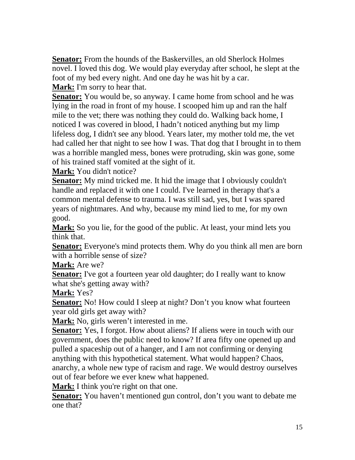**Senator:** From the hounds of the Baskervilles, an old Sherlock Holmes novel. I loved this dog. We would play everyday after school, he slept at the foot of my bed every night. And one day he was hit by a car. **Mark:** I'm sorry to hear that.

**Senator:** You would be, so anyway. I came home from school and he was lying in the road in front of my house. I scooped him up and ran the half mile to the vet; there was nothing they could do. Walking back home, I noticed I was covered in blood, I hadn't noticed anything but my limp lifeless dog, I didn't see any blood. Years later, my mother told me, the vet had called her that night to see how I was. That dog that I brought in to them was a horrible mangled mess, bones were protruding, skin was gone, some of his trained staff vomited at the sight of it.

**Mark:** You didn't notice?

**Senator:** My mind tricked me. It hid the image that I obviously couldn't handle and replaced it with one I could. I've learned in therapy that's a common mental defense to trauma. I was still sad, yes, but I was spared years of nightmares. And why, because my mind lied to me, for my own good.

**Mark:** So you lie, for the good of the public. At least, your mind lets you think that.

**Senator:** Everyone's mind protects them. Why do you think all men are born with a horrible sense of size?

**Mark:** Are we?

**Senator:** I've got a fourteen year old daughter; do I really want to know what she's getting away with?

**Mark:** Yes?

**Senator:** No! How could I sleep at night? Don't you know what fourteen year old girls get away with?

**Mark:** No, girls weren't interested in me.

**Senator:** Yes, I forgot. How about aliens? If aliens were in touch with our government, does the public need to know? If area fifty one opened up and pulled a spaceship out of a hanger, and I am not confirming or denying anything with this hypothetical statement. What would happen? Chaos, anarchy, a whole new type of racism and rage. We would destroy ourselves out of fear before we ever knew what happened.

**Mark:** I think you're right on that one.

**Senator:** You haven't mentioned gun control, don't you want to debate me one that?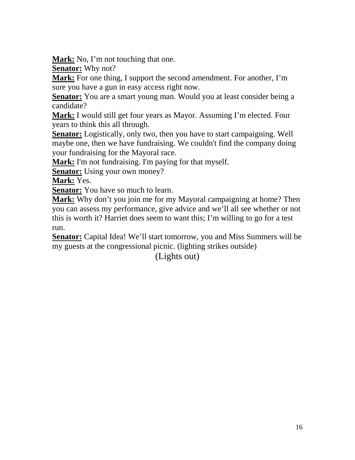**Mark:** No, I'm not touching that one.

**Senator:** Why not?

**Mark:** For one thing, I support the second amendment. For another, I'm sure you have a gun in easy access right now.

**Senator:** You are a smart young man. Would you at least consider being a candidate?

**Mark:** I would still get four years as Mayor. Assuming I'm elected. Four years to think this all through.

**Senator:** Logistically, only two, then you have to start campaigning. Well maybe one, then we have fundraising. We couldn't find the company doing your fundraising for the Mayoral race.

**Mark:** I'm not fundraising. I'm paying for that myself.

**<u>Senator:</u>** Using your own money?

**Mark:** Yes.

**Senator:** You have so much to learn.

**Mark:** Why don't you join me for my Mayoral campaigning at home? Then you can assess my performance, give advice and we'll all see whether or not this is worth it? Harriet does seem to want this; I'm willing to go for a test run.

**Senator:** Capital Idea! We'll start tomorrow, you and Miss Summers will be my guests at the congressional picnic. (lighting strikes outside)

(Lights out)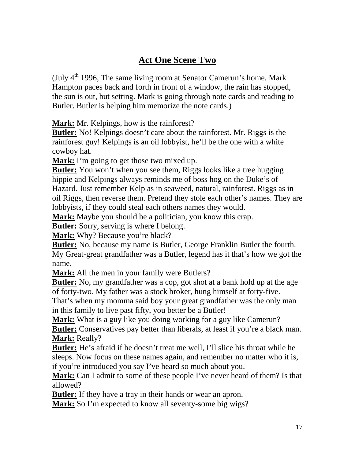#### **Act One Scene Two**

(July  $4<sup>th</sup>$  1996, The same living room at Senator Camerun's home. Mark Hampton paces back and forth in front of a window, the rain has stopped, the sun is out, but setting. Mark is going through note cards and reading to Butler. Butler is helping him memorize the note cards.)

**Mark:** Mr. Kelpings, how is the rainforest?

**Butler:** No! Kelpings doesn't care about the rainforest. Mr. Riggs is the rainforest guy! Kelpings is an oil lobbyist, he'll be the one with a white cowboy hat.

**Mark:** I'm going to get those two mixed up.

**Butler:** You won't when you see them, Riggs looks like a tree hugging hippie and Kelpings always reminds me of boss hog on the Duke's of Hazard. Just remember Kelp as in seaweed, natural, rainforest. Riggs as in oil Riggs, then reverse them. Pretend they stole each other's names. They are lobbyists, if they could steal each others names they would.

**Mark:** Maybe you should be a politician, you know this crap.

**Butler:** Sorry, serving is where I belong.

**Mark:** Why? Because you're black?

**Butler:** No, because my name is Butler, George Franklin Butler the fourth. My Great-great grandfather was a Butler, legend has it that's how we got the name.

**Mark:** All the men in your family were Butlers?

**Butler:** No, my grandfather was a cop, got shot at a bank hold up at the age of forty-two. My father was a stock broker, hung himself at forty-five.

That's when my momma said boy your great grandfather was the only man in this family to live past fifty, you better be a Butler!

**Mark:** What is a guy like you doing working for a guy like Camerun? **Butler:** Conservatives pay better than liberals, at least if you're a black man. **Mark:** Really?

**Butler:** He's afraid if he doesn't treat me well, I'll slice his throat while he sleeps. Now focus on these names again, and remember no matter who it is, if you're introduced you say I've heard so much about you.

**Mark:** Can I admit to some of these people I've never heard of them? Is that allowed?

**Butler:** If they have a tray in their hands or wear an apron.

**Mark:** So I'm expected to know all seventy-some big wigs?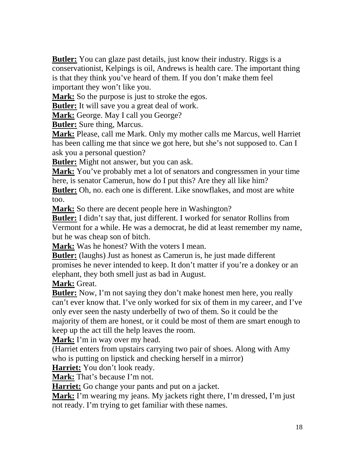**Butler:** You can glaze past details, just know their industry. Riggs is a conservationist, Kelpings is oil, Andrews is health care. The important thing is that they think you've heard of them. If you don't make them feel important they won't like you.

**Mark:** So the purpose is just to stroke the egos.

**Butler:** It will save you a great deal of work.

**Mark:** George. May I call you George?

**Butler:** Sure thing, Marcus.

**Mark:** Please, call me Mark. Only my mother calls me Marcus, well Harriet has been calling me that since we got here, but she's not supposed to. Can I ask you a personal question?

**Butler:** Might not answer, but you can ask.

**Mark:** You've probably met a lot of senators and congressmen in your time here, is senator Camerun, how do I put this? Are they all like him?

**Butler:** Oh, no. each one is different. Like snowflakes, and most are white too.

**Mark:** So there are decent people here in Washington?

**Butler:** I didn't say that, just different. I worked for senator Rollins from Vermont for a while. He was a democrat, he did at least remember my name, but he was cheap son of bitch.

**Mark:** Was he honest? With the voters I mean.

**Butler:** (laughs) Just as honest as Camerun is, he just made different promises he never intended to keep. It don't matter if you're a donkey or an elephant, they both smell just as bad in August.

**Mark:** Great.

**Butler:** Now, I'm not saying they don't make honest men here, you really can't ever know that. I've only worked for six of them in my career, and I've only ever seen the nasty underbelly of two of them. So it could be the majority of them are honest, or it could be most of them are smart enough to keep up the act till the help leaves the room.

**Mark:** I'm in way over my head.

(Harriet enters from upstairs carrying two pair of shoes. Along with Amy who is putting on lipstick and checking herself in a mirror)

**Harriet:** You don't look ready.

**Mark:** That's because I'm not.

**Harriet:** Go change your pants and put on a jacket.

**Mark:** I'm wearing my jeans. My jackets right there, I'm dressed, I'm just not ready. I'm trying to get familiar with these names.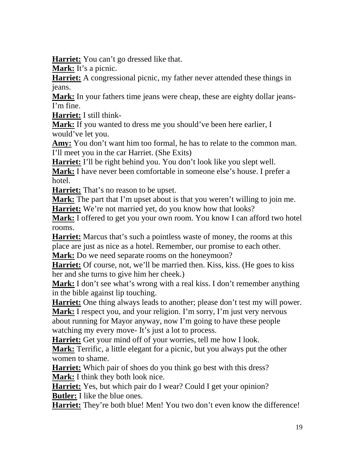**Harriet:** You can't go dressed like that.

**Mark:** It's a picnic.

**Harriet:** A congressional picnic, my father never attended these things in jeans.

**Mark:** In your fathers time jeans were cheap, these are eighty dollar jeans-I'm fine.

**Harriet:** I still think-

**Mark:** If you wanted to dress me you should've been here earlier, I would've let you.

**Amy:** You don't want him too formal, he has to relate to the common man. I'll meet you in the car Harriet. (She Exits)

**Harriet:** I'll be right behind you. You don't look like you slept well.

**Mark:** I have never been comfortable in someone else's house. I prefer a hotel.

**Harriet:** That's no reason to be upset.

**Mark:** The part that I'm upset about is that you weren't willing to join me. Harriet: We're not married yet, do you know how that looks?

**Mark:** I offered to get you your own room. You know I can afford two hotel rooms.

**Harriet:** Marcus that's such a pointless waste of money, the rooms at this place are just as nice as a hotel. Remember, our promise to each other.

**Mark:** Do we need separate rooms on the honeymoon?

**Harriet:** Of course, not, we'll be married then. Kiss, kiss. (He goes to kiss her and she turns to give him her cheek.)

**Mark:** I don't see what's wrong with a real kiss. I don't remember anything in the bible against lip touching.

**Harriet:** One thing always leads to another; please don't test my will power.

Mark: I respect you, and your religion. I'm sorry, I'm just very nervous about running for Mayor anyway, now I'm going to have these people watching my every move- It's just a lot to process.

**Harriet:** Get your mind off of your worries, tell me how I look.

**Mark:** Terrific, a little elegant for a picnic, but you always put the other women to shame.

**Harriet:** Which pair of shoes do you think go best with this dress? **Mark:** I think they both look nice.

**Harriet:** Yes, but which pair do I wear? Could I get your opinion? **Butler:** I like the blue ones.

**Harriet:** They're both blue! Men! You two don't even know the difference!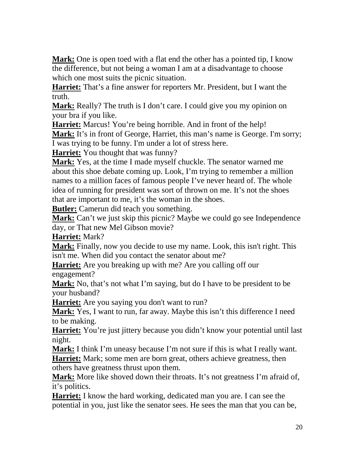**Mark:** One is open toed with a flat end the other has a pointed tip, I know the difference, but not being a woman I am at a disadvantage to choose which one most suits the picnic situation.

**Harriet:** That's a fine answer for reporters Mr. President, but I want the truth.

**Mark:** Really? The truth is I don't care. I could give you my opinion on your bra if you like.

**Harriet:** Marcus! You're being horrible. And in front of the help!

**Mark:** It's in front of George, Harriet, this man's name is George. I'm sorry; I was trying to be funny. I'm under a lot of stress here.

**Harriet:** You thought that was funny?

**Mark:** Yes, at the time I made myself chuckle. The senator warned me about this shoe debate coming up. Look, I'm trying to remember a million names to a million faces of famous people I've never heard of. The whole idea of running for president was sort of thrown on me. It's not the shoes that are important to me, it's the woman in the shoes.

**Butler:** Camerun did teach you something.

**Mark:** Can't we just skip this picnic? Maybe we could go see Independence day, or That new Mel Gibson movie?

**Harriet:** Mark?

**Mark:** Finally, now you decide to use my name. Look, this isn't right. This isn't me. When did you contact the senator about me?

**Harriet:** Are you breaking up with me? Are you calling off our engagement?

**Mark:** No, that's not what I'm saying, but do I have to be president to be your husband?

**Harriet:** Are you saying you don't want to run?

**Mark:** Yes, I want to run, far away. Maybe this isn't this difference I need to be making.

**Harriet:** You're just jittery because you didn't know your potential until last night.

**Mark:** I think I'm uneasy because I'm not sure if this is what I really want. **Harriet:** Mark; some men are born great, others achieve greatness, then others have greatness thrust upon them.

**Mark:** More like shoved down their throats. It's not greatness I'm afraid of, it's politics.

**Harriet:** I know the hard working, dedicated man you are. I can see the potential in you, just like the senator sees. He sees the man that you can be,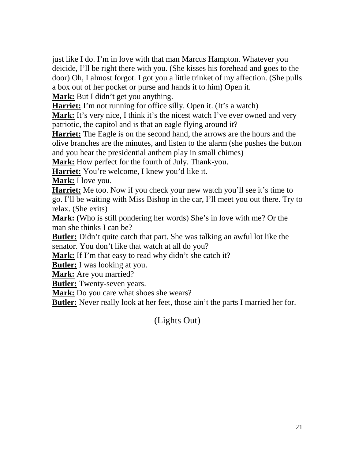just like I do. I'm in love with that man Marcus Hampton. Whatever you deicide, I'll be right there with you. (She kisses his forehead and goes to the door) Oh, I almost forgot. I got you a little trinket of my affection. (She pulls a box out of her pocket or purse and hands it to him) Open it.

**Mark:** But I didn't get you anything.

**Harriet:** I'm not running for office silly. Open it. (It's a watch)

**Mark:** It's very nice, I think it's the nicest watch I've ever owned and very patriotic, the capitol and is that an eagle flying around it?

**Harriet:** The Eagle is on the second hand, the arrows are the hours and the olive branches are the minutes, and listen to the alarm (she pushes the button and you hear the presidential anthem play in small chimes)

**Mark:** How perfect for the fourth of July. Thank-you.

**Harriet:** You're welcome, I knew you'd like it.

**Mark:** I love you.

Harriet: Me too. Now if you check your new watch you'll see it's time to go. I'll be waiting with Miss Bishop in the car, I'll meet you out there. Try to relax. (She exits)

**Mark:** (Who is still pondering her words) She's in love with me? Or the man she thinks I can be?

**Butler:** Didn't quite catch that part. She was talking an awful lot like the senator. You don't like that watch at all do you?

**Mark:** If I'm that easy to read why didn't she catch it?

**Butler:** I was looking at you.

**Mark:** Are you married?

**Butler:** Twenty-seven years.

**Mark:** Do you care what shoes she wears?

**Butler:** Never really look at her feet, those ain't the parts I married her for.

(Lights Out)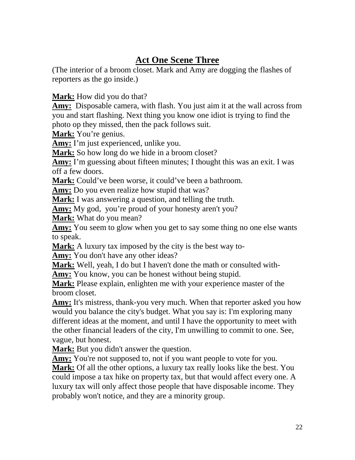#### **Act One Scene Three**

(The interior of a broom closet. Mark and Amy are dogging the flashes of reporters as the go inside.)

**Mark:** How did you do that?

**Amy:** Disposable camera, with flash. You just aim it at the wall across from you and start flashing. Next thing you know one idiot is trying to find the photo op they missed, then the pack follows suit.

**Mark:** You're genius.

**Amy:** I'm just experienced, unlike you.

**Mark:** So how long do we hide in a broom closet?

**Amy:** I'm guessing about fifteen minutes; I thought this was an exit. I was off a few doors.

**Mark:** Could've been worse, it could've been a bathroom.

**Amy:** Do you even realize how stupid that was?

**Mark:** I was answering a question, and telling the truth.

**Amy:** My god, you're proud of your honesty aren't you?

**Mark:** What do you mean?

Amy: You seem to glow when you get to say some thing no one else wants to speak.

**Mark:** A luxury tax imposed by the city is the best way to-

**Amy:** You don't have any other ideas?

**Mark:** Well, yeah, I do but I haven't done the math or consulted with-

Amy: You know, you can be honest without being stupid.

**Mark:** Please explain, enlighten me with your experience master of the broom closet.

**Amy:** It's mistress, thank-you very much. When that reporter asked you how would you balance the city's budget. What you say is: I'm exploring many different ideas at the moment, and until I have the opportunity to meet with the other financial leaders of the city, I'm unwilling to commit to one. See, vague, but honest.

**Mark:** But you didn't answer the question.

Amy: You're not supposed to, not if you want people to vote for you.

**Mark:** Of all the other options, a luxury tax really looks like the best. You could impose a tax hike on property tax, but that would affect every one. A luxury tax will only affect those people that have disposable income. They probably won't notice, and they are a minority group.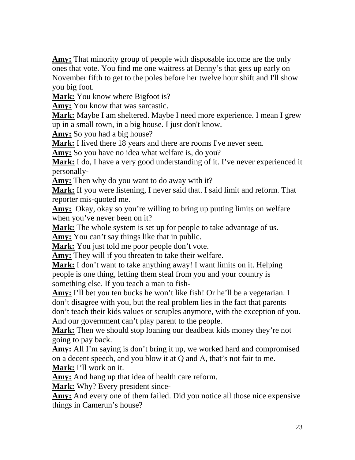**Amy:** That minority group of people with disposable income are the only ones that vote. You find me one waitress at Denny's that gets up early on November fifth to get to the poles before her twelve hour shift and I'll show you big foot.

**Mark:** You know where Bigfoot is?

**Amy:** You know that was sarcastic.

**Mark:** Maybe I am sheltered. Maybe I need more experience. I mean I grew up in a small town, in a big house. I just don't know.

**Amy:** So you had a big house?

**Mark:** I lived there 18 years and there are rooms I've never seen.

**Amy:** So you have no idea what welfare is, do you?

**Mark:** I do, I have a very good understanding of it. I've never experienced it personally-

**Amy:** Then why do you want to do away with it?

**Mark:** If you were listening, I never said that. I said limit and reform. That reporter mis-quoted me.

**Amy:** Okay, okay so you're willing to bring up putting limits on welfare when you've never been on it?

**Mark:** The whole system is set up for people to take advantage of us.

**Amy:** You can't say things like that in public.

**Mark:** You just told me poor people don't vote.

**Amy:** They will if you threaten to take their welfare.

**Mark:** I don't want to take anything away! I want limits on it. Helping people is one thing, letting them steal from you and your country is something else. If you teach a man to fish-

**Amy:** I'll bet you ten bucks he won't like fish! Or he'll be a vegetarian. I don't disagree with you, but the real problem lies in the fact that parents don't teach their kids values or scruples anymore, with the exception of you. And our government can't play parent to the people.

**Mark:** Then we should stop loaning our deadbeat kids money they're not going to pay back.

**Amy:** All I'm saying is don't bring it up, we worked hard and compromised on a decent speech, and you blow it at Q and A, that's not fair to me. **Mark:** I'll work on it.

Amy: And hang up that idea of health care reform.

**Mark:** Why? Every president since-

**Amy:** And every one of them failed. Did you notice all those nice expensive things in Camerun's house?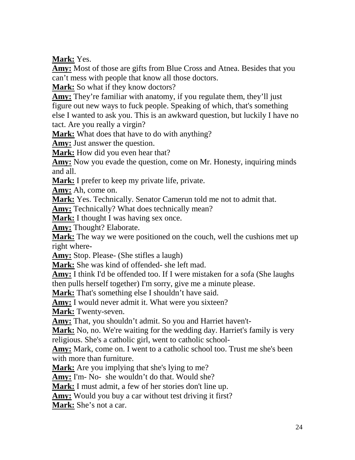**Mark:** Yes.

**Amy:** Most of those are gifts from Blue Cross and Atnea. Besides that you can't mess with people that know all those doctors.

**Mark:** So what if they know doctors?

**Amy:** They're familiar with anatomy, if you regulate them, they'll just figure out new ways to fuck people. Speaking of which, that's something else I wanted to ask you. This is an awkward question, but luckily I have no tact. Are you really a virgin?

**Mark:** What does that have to do with anything?

**Amy:** Just answer the question.

**Mark:** How did you even hear that?

**Amy:** Now you evade the question, come on Mr. Honesty, inquiring minds and all.

**Mark:** I prefer to keep my private life, private.

**Amy:** Ah, come on.

**Mark:** Yes. Technically. Senator Camerun told me not to admit that.

**Amy:** Technically? What does technically mean?

**Mark:** I thought I was having sex once.

**Amy:** Thought? Elaborate.

**Mark:** The way we were positioned on the couch, well the cushions met up right where-

**Amy:** Stop. Please- (She stifles a laugh)

**Mark:** She was kind of offended- she left mad.

**Amy:** I think I'd be offended too. If I were mistaken for a sofa (She laughs then pulls herself together) I'm sorry, give me a minute please.

**Mark:** That's something else I shouldn't have said.

Amy: I would never admit it. What were you sixteen?

**Mark:** Twenty-seven.

**Amy:** That, you shouldn't admit. So you and Harriet haven't-

**Mark:** No, no. We're waiting for the wedding day. Harriet's family is very religious. She's a catholic girl, went to catholic school-

**Amy:** Mark, come on. I went to a catholic school too. Trust me she's been with more than furniture.

**Mark:** Are you implying that she's lying to me?

**Amy:** I'm- No- she wouldn't do that. Would she?

**Mark:** I must admit, a few of her stories don't line up.

**Amy:** Would you buy a car without test driving it first?

**Mark:** She's not a car.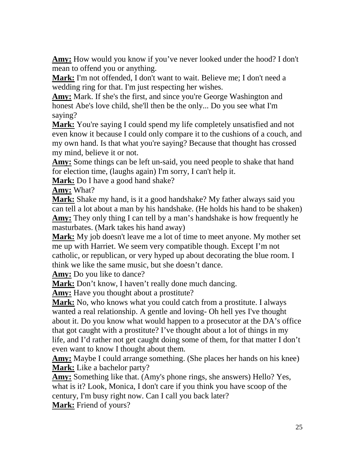**Amy:** How would you know if you've never looked under the hood? I don't mean to offend you or anything.

**Mark:** I'm not offended, I don't want to wait. Believe me; I don't need a wedding ring for that. I'm just respecting her wishes.

**Amy:** Mark. If she's the first, and since you're George Washington and honest Abe's love child, she'll then be the only... Do you see what I'm saying?

**Mark:** You're saying I could spend my life completely unsatisfied and not even know it because I could only compare it to the cushions of a couch, and my own hand. Is that what you're saying? Because that thought has crossed my mind, believe it or not.

**Amy:** Some things can be left un-said, you need people to shake that hand for election time, (laughs again) I'm sorry, I can't help it.

**Mark:** Do I have a good hand shake?

**Amy:** What?

**Mark:** Shake my hand, is it a good handshake? My father always said you can tell a lot about a man by his handshake. (He holds his hand to be shaken) **Amy:** They only thing I can tell by a man's handshake is how frequently he masturbates. (Mark takes his hand away)

**Mark:** My job doesn't leave me a lot of time to meet anyone. My mother set me up with Harriet. We seem very compatible though. Except I'm not catholic, or republican, or very hyped up about decorating the blue room. I think we like the same music, but she doesn't dance.

**Amy:** Do you like to dance?

**Mark:** Don't know, I haven't really done much dancing.

**Amy:** Have you thought about a prostitute?

**Mark:** No, who knows what you could catch from a prostitute. I always wanted a real relationship. A gentle and loving- Oh hell yes I've thought about it. Do you know what would happen to a prosecutor at the DA's office that got caught with a prostitute? I've thought about a lot of things in my life, and I'd rather not get caught doing some of them, for that matter I don't even want to know I thought about them.

**Amy:** Maybe I could arrange something. (She places her hands on his knee) **Mark:** Like a bachelor party?

**Amy:** Something like that. (Amy's phone rings, she answers) Hello? Yes, what is it? Look, Monica, I don't care if you think you have scoop of the century, I'm busy right now. Can I call you back later? **Mark:** Friend of yours?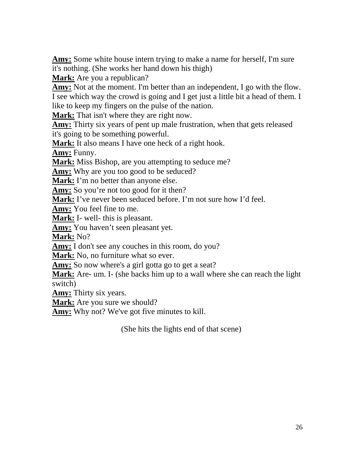**Amy:** Some white house intern trying to make a name for herself, I'm sure it's nothing. (She works her hand down his thigh)

**Mark:** Are you a republican?

**Amy:** Not at the moment. I'm better than an independent, I go with the flow. I see which way the crowd is going and I get just a little bit a head of them. I like to keep my fingers on the pulse of the nation.

**Mark:** That isn't where they are right now.

**Amy:** Thirty six years of pent up male frustration, when that gets released it's going to be something powerful.

**Mark:** It also means I have one heck of a right hook.

**Amy:** Funny.

**Mark:** Miss Bishop, are you attempting to seduce me?

**Amy:** Why are you too good to be seduced?

**Mark:** I'm no better than anyone else.

Amy: So you're not too good for it then?

**Mark:** I've never been seduced before. I'm not sure how I'd feel.

**Amy:** You feel fine to me.

**Mark:** I- well- this is pleasant.

**Amy:** You haven't seen pleasant yet.

**Mark:** No?

Amy: I don't see any couches in this room, do you?

**Mark:** No, no furniture what so ever.

Amy: So now where's a girl gotta go to get a seat?

**Mark:** Are- um. I- (she backs him up to a wall where she can reach the light switch)

**Amy:** Thirty six years.

**Mark:** Are you sure we should?

**Amy:** Why not? We've got five minutes to kill.

(She hits the lights end of that scene)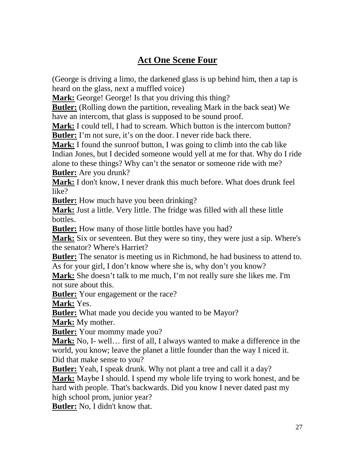# **Act One Scene Four**

(George is driving a limo, the darkened glass is up behind him, then a tap is heard on the glass, next a muffled voice)

Mark: George! George! Is that you driving this thing?

**Butler:** (Rolling down the partition, revealing Mark in the back seat) We have an intercom, that glass is supposed to be sound proof.

**Mark:** I could tell, I had to scream. Which button is the intercom button? **Butler:** I'm not sure, it's on the door. I never ride back there.

**Mark:** I found the sunroof button, I was going to climb into the cab like Indian Jones, but I decided someone would yell at me for that. Why do I ride alone to these things? Why can't the senator or someone ride with me? **Butler:** Are you drunk?

**Mark:** I don't know, I never drank this much before. What does drunk feel like?

**Butler:** How much have you been drinking?

**Mark:** Just a little. Very little. The fridge was filled with all these little bottles.

**Butler:** How many of those little bottles have you had?

**Mark:** Six or seventeen. But they were so tiny, they were just a sip. Where's the senator? Where's Harriet?

**Butler:** The senator is meeting us in Richmond, he had business to attend to. As for your girl, I don't know where she is, why don't you know?

**Mark:** She doesn't talk to me much, I'm not really sure she likes me. I'm not sure about this.

**Butler:** Your engagement or the race?

**Mark:** Yes.

**Butler:** What made you decide you wanted to be Mayor?

**Mark:** My mother.

**Butler:** Your mommy made you?

**Mark:** No, I- well… first of all, I always wanted to make a difference in the world, you know; leave the planet a little founder than the way I niced it. Did that make sense to you?

**Butler:** Yeah, I speak drunk. Why not plant a tree and call it a day?

**Mark:** Maybe I should. I spend my whole life trying to work honest, and be hard with people. That's backwards. Did you know I never dated past my high school prom, junior year?

**Butler:** No, I didn't know that.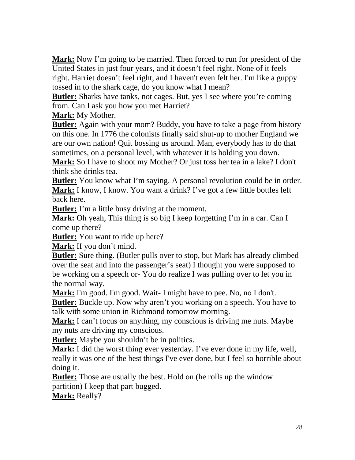**Mark:** Now I'm going to be married. Then forced to run for president of the United States in just four years, and it doesn't feel right. None of it feels right. Harriet doesn't feel right, and I haven't even felt her. I'm like a guppy tossed in to the shark cage, do you know what I mean?

**Butler:** Sharks have tanks, not cages. But, yes I see where you're coming from. Can I ask you how you met Harriet?

**Mark:** My Mother.

**Butler:** Again with your mom? Buddy, you have to take a page from history on this one. In 1776 the colonists finally said shut-up to mother England we are our own nation! Quit bossing us around. Man, everybody has to do that sometimes, on a personal level, with whatever it is holding you down.

**Mark:** So I have to shoot my Mother? Or just toss her tea in a lake? I don't think she drinks tea.

**Butler:** You know what I'm saying. A personal revolution could be in order. **Mark:** I know, I know. You want a drink? I've got a few little bottles left back here.

**Butler:** I'm a little busy driving at the moment.

**Mark:** Oh yeah, This thing is so big I keep forgetting I'm in a car. Can I come up there?

**Butler:** You want to ride up here?

**Mark:** If you don't mind.

**Butler:** Sure thing. (Butler pulls over to stop, but Mark has already climbed over the seat and into the passenger's seat) I thought you were supposed to be working on a speech or- You do realize I was pulling over to let you in the normal way.

**Mark:** I'm good. I'm good. Wait- I might have to pee. No, no I don't.

**Butler:** Buckle up. Now why aren't you working on a speech. You have to talk with some union in Richmond tomorrow morning.

**Mark:** I can't focus on anything, my conscious is driving me nuts. Maybe my nuts are driving my conscious.

**Butler:** Maybe you shouldn't be in politics.

**Mark:** I did the worst thing ever yesterday. I've ever done in my life, well, really it was one of the best things I've ever done, but I feel so horrible about doing it.

**Butler:** Those are usually the best. Hold on (he rolls up the window partition) I keep that part bugged.

**Mark:** Really?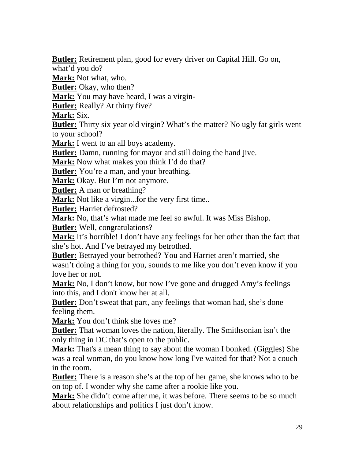**Butler:** Retirement plan, good for every driver on Capital Hill. Go on,

what'd you do?

**Mark:** Not what, who.

**Butler:** Okay, who then?

**Mark:** You may have heard, I was a virgin-

**Butler:** Really? At thirty five?

**Mark:** Six.

**Butler:** Thirty six year old virgin? What's the matter? No ugly fat girls went to your school?

**Mark:** I went to an all boys academy.

**Butler:** Damn, running for mayor and still doing the hand jive.

**Mark:** Now what makes you think I'd do that?

**Butler:** You're a man, and your breathing.

**Mark:** Okay. But I'm not anymore.

**Butler:** A man or breathing?

**Mark:** Not like a virgin...for the very first time...

**Butler:** Harriet defrosted?

**Mark:** No, that's what made me feel so awful. It was Miss Bishop.

**Butler:** Well, congratulations?

**Mark:** It's horrible! I don't have any feelings for her other than the fact that she's hot. And I've betrayed my betrothed.

**Butler:** Betrayed your betrothed? You and Harriet aren't married, she wasn't doing a thing for you, sounds to me like you don't even know if you love her or not.

**Mark:** No, I don't know, but now I've gone and drugged Amy's feelings into this, and I don't know her at all.

**Butler:** Don't sweat that part, any feelings that woman had, she's done feeling them.

**Mark:** You don't think she loves me?

**Butler:** That woman loves the nation, literally. The Smithsonian isn't the only thing in DC that's open to the public.

**Mark:** That's a mean thing to say about the woman I bonked. (Giggles) She was a real woman, do you know how long I've waited for that? Not a couch in the room.

**Butler:** There is a reason she's at the top of her game, she knows who to be on top of. I wonder why she came after a rookie like you.

**Mark:** She didn't come after me, it was before. There seems to be so much about relationships and politics I just don't know.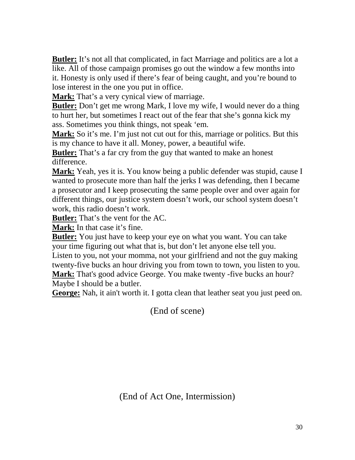**Butler:** It's not all that complicated, in fact Marriage and politics are a lot a like. All of those campaign promises go out the window a few months into it. Honesty is only used if there's fear of being caught, and you're bound to lose interest in the one you put in office.

**Mark:** That's a very cynical view of marriage.

**Butler:** Don't get me wrong Mark, I love my wife, I would never do a thing to hurt her, but sometimes I react out of the fear that she's gonna kick my ass. Sometimes you think things, not speak 'em.

**Mark:** So it's me. I'm just not cut out for this, marriage or politics. But this is my chance to have it all. Money, power, a beautiful wife.

**Butler:** That's a far cry from the guy that wanted to make an honest difference.

**Mark:** Yeah, yes it is. You know being a public defender was stupid, cause I wanted to prosecute more than half the jerks I was defending, then I became a prosecutor and I keep prosecuting the same people over and over again for different things, our justice system doesn't work, our school system doesn't work, this radio doesn't work.

**Butler:** That's the vent for the AC.

**Mark:** In that case it's fine.

**Butler:** You just have to keep your eye on what you want. You can take your time figuring out what that is, but don't let anyone else tell you.

Listen to you, not your momma, not your girlfriend and not the guy making twenty-five bucks an hour driving you from town to town, you listen to you. **Mark:** That's good advice George. You make twenty -five bucks an hour?

Maybe I should be a butler.

**George:** Nah, it ain't worth it. I gotta clean that leather seat you just peed on.

(End of scene)

(End of Act One, Intermission)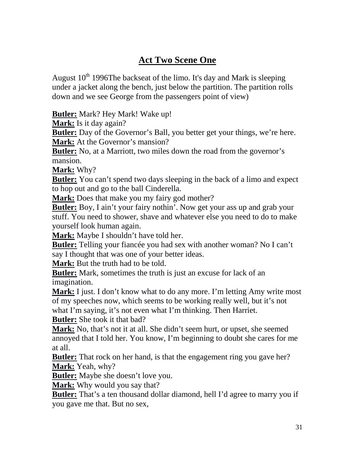#### **Act Two Scene One**

August  $10^{th}$  1996The backseat of the limo. It's day and Mark is sleeping under a jacket along the bench, just below the partition. The partition rolls down and we see George from the passengers point of view)

**Butler:** Mark? Hey Mark! Wake up!

**Mark:** Is it day again?

**Butler:** Day of the Governor's Ball, you better get your things, we're here. **Mark:** At the Governor's mansion?

**Butler:** No, at a Marriott, two miles down the road from the governor's mansion.

**Mark:** Why?

**Butler:** You can't spend two days sleeping in the back of a limo and expect to hop out and go to the ball Cinderella.

**Mark:** Does that make you my fairy god mother?

**Butler:** Boy, I ain't your fairy nothin'. Now get your ass up and grab your stuff. You need to shower, shave and whatever else you need to do to make yourself look human again.

**Mark:** Maybe I shouldn't have told her.

**Butler:** Telling your fiancée you had sex with another woman? No I can't say I thought that was one of your better ideas.

**Mark:** But the truth had to be told.

**Butler:** Mark, sometimes the truth is just an excuse for lack of an imagination.

**Mark:** I just. I don't know what to do any more. I'm letting Amy write most of my speeches now, which seems to be working really well, but it's not what I'm saying, it's not even what I'm thinking. Then Harriet.

**Butler:** She took it that bad?

**Mark:** No, that's not it at all. She didn't seem hurt, or upset, she seemed annoyed that I told her. You know, I'm beginning to doubt she cares for me at all.

**Butler:** That rock on her hand, is that the engagement ring you gave her? **Mark:** Yeah, why?

**Butler:** Maybe she doesn't love you.

**Mark:** Why would you say that?

**Butler:** That's a ten thousand dollar diamond, hell I'd agree to marry you if you gave me that. But no sex,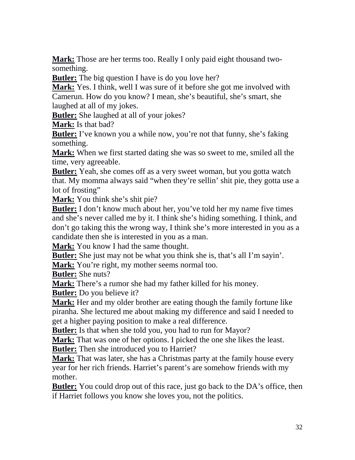**Mark:** Those are her terms too. Really I only paid eight thousand twosomething.

**Butler:** The big question I have is do you love her?

**Mark:** Yes. I think, well I was sure of it before she got me involved with Camerun. How do you know? I mean, she's beautiful, she's smart, she laughed at all of my jokes.

**Butler:** She laughed at all of your jokes?

**Mark:** Is that bad?

**Butler:** I've known you a while now, you're not that funny, she's faking something.

**Mark:** When we first started dating she was so sweet to me, smiled all the time, very agreeable.

**Butler:** Yeah, she comes off as a very sweet woman, but you gotta watch that. My momma always said "when they're sellin' shit pie, they gotta use a lot of frosting"

**Mark:** You think she's shit pie?

**Butler:** I don't know much about her, you've told her my name five times and she's never called me by it. I think she's hiding something. I think, and don't go taking this the wrong way, I think she's more interested in you as a candidate then she is interested in you as a man.

**Mark:** You know I had the same thought.

**Butler:** She just may not be what you think she is, that's all I'm sayin'.

**Mark:** You're right, my mother seems normal too.

**Butler:** She nuts?

**Mark:** There's a rumor she had my father killed for his money.

**Butler:** Do you believe it?

**Mark:** Her and my older brother are eating though the family fortune like piranha. She lectured me about making my difference and said I needed to get a higher paying position to make a real difference.

**Butler:** Is that when she told you, you had to run for Mayor?

**Mark:** That was one of her options. I picked the one she likes the least. **Butler:** Then she introduced you to Harriet?

**Mark:** That was later, she has a Christmas party at the family house every year for her rich friends. Harriet's parent's are somehow friends with my mother.

**Butler:** You could drop out of this race, just go back to the DA's office, then if Harriet follows you know she loves you, not the politics.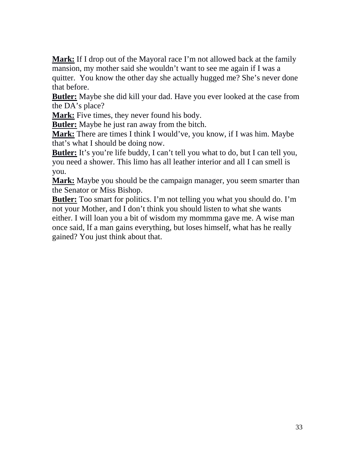**Mark:** If I drop out of the Mayoral race I'm not allowed back at the family mansion, my mother said she wouldn't want to see me again if I was a quitter. You know the other day she actually hugged me? She's never done that before.

**Butler:** Maybe she did kill your dad. Have you ever looked at the case from the DA's place?

**Mark:** Five times, they never found his body.

**Butler:** Maybe he just ran away from the bitch.

**Mark:** There are times I think I would've, you know, if I was him. Maybe that's what I should be doing now.

**Butler:** It's you're life buddy, I can't tell you what to do, but I can tell you, you need a shower. This limo has all leather interior and all I can smell is you.

**Mark:** Maybe you should be the campaign manager, you seem smarter than the Senator or Miss Bishop.

**Butler:** Too smart for politics. I'm not telling you what you should do. I'm not your Mother, and I don't think you should listen to what she wants either. I will loan you a bit of wisdom my mommma gave me. A wise man once said, If a man gains everything, but loses himself, what has he really gained? You just think about that.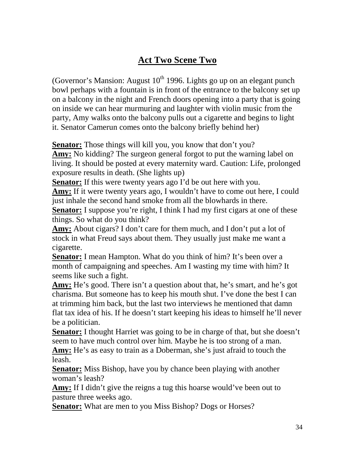## **Act Two Scene Two**

(Governor's Mansion: August  $10^{th}$  1996. Lights go up on an elegant punch bowl perhaps with a fountain is in front of the entrance to the balcony set up on a balcony in the night and French doors opening into a party that is going on inside we can hear murmuring and laughter with violin music from the party, Amy walks onto the balcony pulls out a cigarette and begins to light it. Senator Camerun comes onto the balcony briefly behind her)

**Senator:** Those things will kill you, you know that don't you?

**Amy:** No kidding? The surgeon general forgot to put the warning label on living. It should be posted at every maternity ward. Caution: Life, prolonged exposure results in death. (She lights up)

**Senator:** If this were twenty years ago I'd be out here with you.

**Amy:** If it were twenty years ago, I wouldn't have to come out here, I could just inhale the second hand smoke from all the blowhards in there.

**Senator:** I suppose you're right, I think I had my first cigars at one of these things. So what do you think?

**Amy:** About cigars? I don't care for them much, and I don't put a lot of stock in what Freud says about them. They usually just make me want a cigarette.

**Senator:** I mean Hampton. What do you think of him? It's been over a month of campaigning and speeches. Am I wasting my time with him? It seems like such a fight.

**Amy:** He's good. There isn't a question about that, he's smart, and he's got charisma. But someone has to keep his mouth shut. I've done the best I can at trimming him back, but the last two interviews he mentioned that damn flat tax idea of his. If he doesn't start keeping his ideas to himself he'll never be a politician.

**Senator:** I thought Harriet was going to be in charge of that, but she doesn't seem to have much control over him. Maybe he is too strong of a man.

**Amy:** He's as easy to train as a Doberman, she's just afraid to touch the leash.

**Senator:** Miss Bishop, have you by chance been playing with another woman's leash?

Amy: If I didn't give the reigns a tug this hoarse would've been out to pasture three weeks ago.

**Senator:** What are men to you Miss Bishop? Dogs or Horses?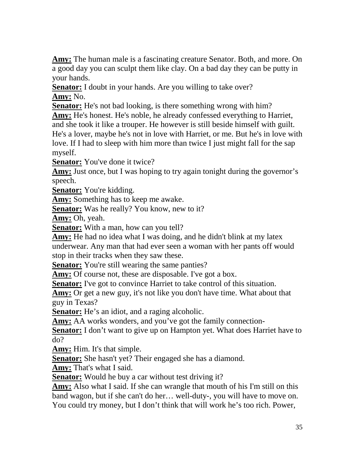**Amy:** The human male is a fascinating creature Senator. Both, and more. On a good day you can sculpt them like clay. On a bad day they can be putty in your hands.

**Senator:** I doubt in your hands. Are you willing to take over? **Amy:** No.

**Senator:** He's not bad looking, is there something wrong with him?

**Amy:** He's honest. He's noble, he already confessed everything to Harriet, and she took it like a trouper. He however is still beside himself with guilt. He's a lover, maybe he's not in love with Harriet, or me. But he's in love with love. If I had to sleep with him more than twice I just might fall for the sap myself.

**Senator:** You've done it twice?

Amy: Just once, but I was hoping to try again tonight during the governor's speech.

**Senator:** You're kidding.

**Amy:** Something has to keep me awake.

**Senator:** Was he really? You know, new to it?

**Amy:** Oh, yeah.

**Senator:** With a man, how can you tell?

**Amy:** He had no idea what I was doing, and he didn't blink at my latex underwear. Any man that had ever seen a woman with her pants off would stop in their tracks when they saw these.

**Senator:** You're still wearing the same panties?

Amy: Of course not, these are disposable. I've got a box.

**Senator:** I've got to convince Harriet to take control of this situation.

**Amy:** Or get a new guy, it's not like you don't have time. What about that guy in Texas?

**Senator:** He's an idiot, and a raging alcoholic.

Amy: AA works wonders, and you've got the family connection-

**Senator:** I don't want to give up on Hampton yet. What does Harriet have to do?

**Amy:** Him. It's that simple.

**Senator:** She hasn't yet? Their engaged she has a diamond.

**Amy:** That's what I said.

**Senator:** Would he buy a car without test driving it?

**Amy:** Also what I said. If she can wrangle that mouth of his I'm still on this band wagon, but if she can't do her… well-duty-, you will have to move on. You could try money, but I don't think that will work he's too rich. Power,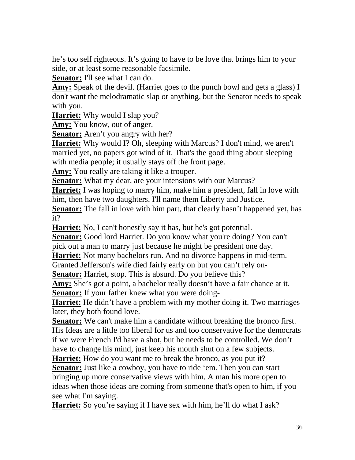he's too self righteous. It's going to have to be love that brings him to your side, or at least some reasonable facsimile.

**Senator:** I'll see what I can do.

**Amy:** Speak of the devil. (Harriet goes to the punch bowl and gets a glass) I don't want the melodramatic slap or anything, but the Senator needs to speak with you.

**Harriet:** Why would I slap you?

**Amy:** You know, out of anger.

**Senator:** Aren't you angry with her?

**Harriet:** Why would I? Oh, sleeping with Marcus? I don't mind, we aren't married yet, no papers got wind of it. That's the good thing about sleeping with media people; it usually stays off the front page.

**Amy:** You really are taking it like a trouper.

**Senator:** What my dear, are your intensions with our Marcus?

**Harriet:** I was hoping to marry him, make him a president, fall in love with him, then have two daughters. I'll name them Liberty and Justice.

**Senator:** The fall in love with him part, that clearly hasn't happened yet, has it?

**Harriet:** No, I can't honestly say it has, but he's got potential.

**Senator:** Good lord Harriet. Do you know what you're doing? You can't pick out a man to marry just because he might be president one day.

**Harriet:** Not many bachelors run. And no divorce happens in mid-term.

Granted Jefferson's wife died fairly early on but you can't rely on-

**Senator:** Harriet, stop. This is absurd. Do you believe this?

**Amy:** She's got a point, a bachelor really doesn't have a fair chance at it. **Senator:** If your father knew what you were doing-

**Harriet:** He didn't have a problem with my mother doing it. Two marriages later, they both found love.

**Senator:** We can't make him a candidate without breaking the bronco first. His Ideas are a little too liberal for us and too conservative for the democrats if we were French I'd have a shot, but he needs to be controlled. We don't have to change his mind, just keep his mouth shut on a few subjects.

**Harriet:** How do you want me to break the bronco, as you put it?

**Senator:** Just like a cowboy, you have to ride 'em. Then you can start bringing up more conservative views with him. A man his more open to ideas when those ideas are coming from someone that's open to him, if you see what I'm saying.

**Harriet:** So you're saying if I have sex with him, he'll do what I ask?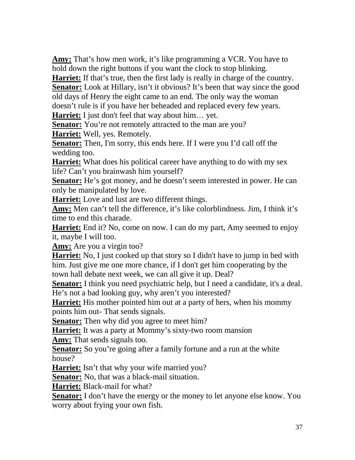**Amy:** That's how men work, it's like programming a VCR. You have to hold down the right buttons if you want the clock to stop blinking.

**Harriet:** If that's true, then the first lady is really in charge of the country. **Senator:** Look at Hillary, isn't it obvious? It's been that way since the good old days of Henry the eight came to an end. The only way the woman doesn't rule is if you have her beheaded and replaced every few years.

**Harriet:** I just don't feel that way about him… yet.

**Senator:** You're not remotely attracted to the man are you?

**Harriet:** Well, yes. Remotely.

**Senator:** Then, I'm sorry, this ends here. If I were you I'd call off the wedding too.

**Harriet:** What does his political career have anything to do with my sex life? Can't you brainwash him yourself?

**Senator:** He's got money, and he doesn't seem interested in power. He can only be manipulated by love.

**Harriet:** Love and lust are two different things.

**Amy:** Men can't tell the difference, it's like colorblindness. Jim, I think it's time to end this charade.

**Harriet:** End it? No, come on now. I can do my part, Amy seemed to enjoy it, maybe I will too.

**Amy:** Are you a virgin too?

**Harriet:** No, I just cooked up that story so I didn't have to jump in bed with him. Just give me one more chance, if I don't get him cooperating by the town hall debate next week, we can all give it up. Deal?

**Senator:** I think you need psychiatric help, but I need a candidate, it's a deal. He's not a bad looking guy, why aren't you interested?

**Harriet:** His mother pointed him out at a party of hers, when his mommy points him out- That sends signals.

**Senator:** Then why did you agree to meet him?

**Harriet:** It was a party at Mommy's sixty-two room mansion

**Amy:** That sends signals too.

**Senator:** So you're going after a family fortune and a run at the white house?

Harriet: Isn't that why your wife married you?

**Senator:** No, that was a black-mail situation.

**Harriet:** Black-mail for what?

**Senator:** I don't have the energy or the money to let anyone else know. You worry about frying your own fish.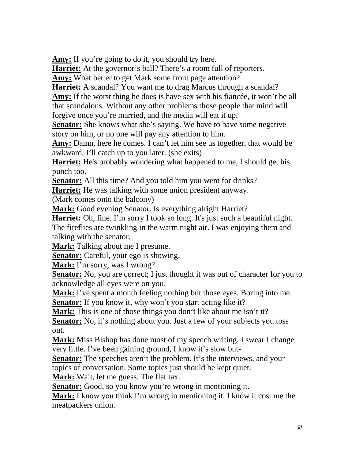Amy: If you're going to do it, you should try here.

**Harriet:** At the governor's ball? There's a room full of reporters.

**Amy:** What better to get Mark some front page attention?

**Harriet:** A scandal? You want me to drag Marcus through a scandal?

**Amy:** If the worst thing he does is have sex with his fiancée, it won't be all that scandalous. Without any other problems those people that mind will forgive once you're married, and the media will eat it up.

**Senator:** She knows what she's saying. We have to have some negative story on him, or no one will pay any attention to him.

**Amy:** Damn, here he comes. I can't let him see us together, that would be awkward, I'll catch up to you later. (she exits)

**Harriet:** He's probably wondering what happened to me, I should get his punch too.

**Senator:** All this time? And you told him you went for drinks?

**Harriet:** He was talking with some union president anyway.

(Mark comes onto the balcony)

**Mark:** Good evening Senator. Is everything alright Harriet?

**Harriet:** Oh, fine. I'm sorry I took so long. It's just such a beautiful night. The fireflies are twinkling in the warm night air. I was enjoying them and talking with the senator.

**Mark:** Talking about me I presume.

**Senator:** Careful, your ego is showing.

**Mark:** I'm sorry, was I wrong?

**Senator:** No, you are correct; I just thought it was out of character for you to acknowledge all eyes were on you.

**Mark:** I've spent a month feeling nothing but those eyes. Boring into me.

**Senator:** If you know it, why won't you start acting like it?

Mark: This is one of those things you don't like about me isn't it?

**Senator:** No, it's nothing about you. Just a few of your subjects you toss out.

**Mark:** Miss Bishop has done most of my speech writing, I swear I change very little. I've been gaining ground, I know it's slow but-

**Senator:** The speeches aren't the problem. It's the interviews, and your topics of conversation. Some topics just should be kept quiet.

**Mark:** Wait, let me guess. The flat tax.

**Senator:** Good, so you know you're wrong in mentioning it.

**Mark:** I know you think I'm wrong in mentioning it. I know it cost me the meatpackers union.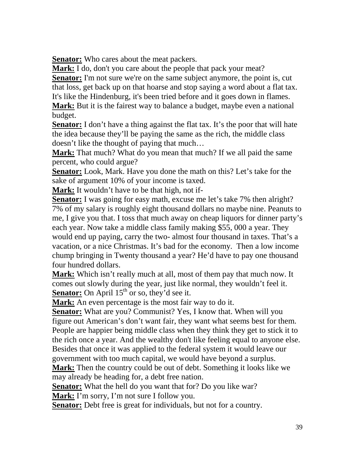**Senator:** Who cares about the meat packers.

**Mark:** I do, don't you care about the people that pack your meat?

**Senator:** I'm not sure we're on the same subject anymore, the point is, cut that loss, get back up on that hoarse and stop saying a word about a flat tax. It's like the Hindenburg, it's been tried before and it goes down in flames.

**Mark:** But it is the fairest way to balance a budget, maybe even a national budget.

**Senator:** I don't have a thing against the flat tax. It's the poor that will hate the idea because they'll be paying the same as the rich, the middle class doesn't like the thought of paying that much…

**Mark:** That much? What do you mean that much? If we all paid the same percent, who could argue?

**Senator:** Look, Mark. Have you done the math on this? Let's take for the sake of argument 10% of your income is taxed.

**Mark:** It wouldn't have to be that high, not if-

**Senator:** I was going for easy math, excuse me let's take 7% then alright? 7% of my salary is roughly eight thousand dollars no maybe nine. Peanuts to me, I give you that. I toss that much away on cheap liquors for dinner party's each year. Now take a middle class family making \$55, 000 a year. They would end up paying, carry the two- almost four thousand in taxes. That's a vacation, or a nice Christmas. It's bad for the economy. Then a low income chump bringing in Twenty thousand a year? He'd have to pay one thousand four hundred dollars.

**Mark:** Which isn't really much at all, most of them pay that much now. It comes out slowly during the year, just like normal, they wouldn't feel it. **Senator:** On April  $15<sup>th</sup>$  or so, they'd see it.

**Mark:** An even percentage is the most fair way to do it.

**Senator:** What are you? Communist? Yes, I know that. When will you figure out American's don't want fair, they want what seems best for them. People are happier being middle class when they think they get to stick it to the rich once a year. And the wealthy don't like feeling equal to anyone else. Besides that once it was applied to the federal system it would leave our government with too much capital, we would have beyond a surplus.

**Mark:** Then the country could be out of debt. Something it looks like we may already be heading for, a debt free nation.

**Senator:** What the hell do you want that for? Do you like war?

**Mark:** I'm sorry, I'm not sure I follow you.

**Senator:** Debt free is great for individuals, but not for a country.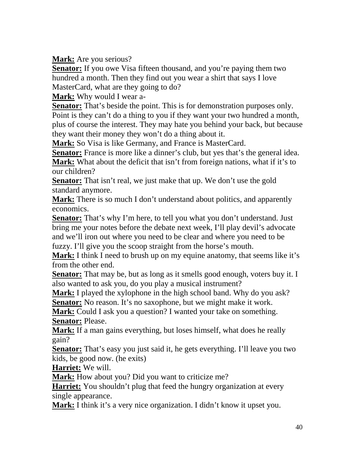**Mark:** Are you serious?

**Senator:** If you owe Visa fifteen thousand, and you're paying them two hundred a month. Then they find out you wear a shirt that says I love MasterCard, what are they going to do?

**Mark:** Why would I wear a-

**Senator:** That's beside the point. This is for demonstration purposes only. Point is they can't do a thing to you if they want your two hundred a month, plus of course the interest. They may hate you behind your back, but because they want their money they won't do a thing about it.

**Mark:** So Visa is like Germany, and France is MasterCard.

**Senator:** France is more like a dinner's club, but yes that's the general idea. **Mark:** What about the deficit that isn't from foreign nations, what if it's to our children?

**Senator:** That isn't real, we just make that up. We don't use the gold standard anymore.

**Mark:** There is so much I don't understand about politics, and apparently economics.

**Senator:** That's why I'm here, to tell you what you don't understand. Just bring me your notes before the debate next week, I'll play devil's advocate and we'll iron out where you need to be clear and where you need to be fuzzy. I'll give you the scoop straight from the horse's mouth.

**Mark:** I think I need to brush up on my equine anatomy, that seems like it's from the other end.

**Senator:** That may be, but as long as it smells good enough, voters buy it. I also wanted to ask you, do you play a musical instrument?

**Mark:** I played the xylophone in the high school band. Why do you ask? **Senator:** No reason. It's no saxophone, but we might make it work.

**Mark:** Could I ask you a question? I wanted your take on something. **Senator:** Please.

**Mark:** If a man gains everything, but loses himself, what does he really gain?

**Senator:** That's easy you just said it, he gets everything. I'll leave you two kids, be good now. (he exits)

**Harriet:** We will.

**Mark:** How about you? Did you want to criticize me?

**Harriet:** You shouldn't plug that feed the hungry organization at every single appearance.

**Mark:** I think it's a very nice organization. I didn't know it upset you.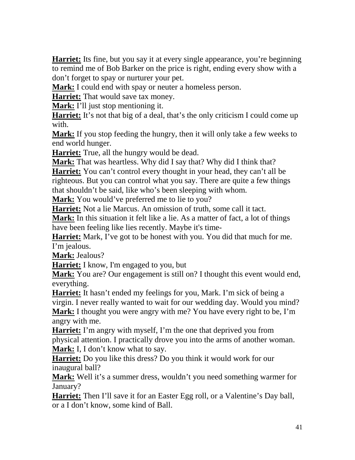**Harriet:** Its fine, but you say it at every single appearance, you're beginning to remind me of Bob Barker on the price is right, ending every show with a don't forget to spay or nurturer your pet.

**Mark:** I could end with spay or neuter a homeless person.

**Harriet:** That would save tax money.

**Mark:** I'll just stop mentioning it.

**Harriet:** It's not that big of a deal, that's the only criticism I could come up with.

**Mark:** If you stop feeding the hungry, then it will only take a few weeks to end world hunger.

**Harriet:** True, all the hungry would be dead.

**Mark:** That was heartless. Why did I say that? Why did I think that?

**Harriet:** You can't control every thought in your head, they can't all be righteous. But you can control what you say. There are quite a few things

that shouldn't be said, like who's been sleeping with whom.

**Mark:** You would've preferred me to lie to you?

**Harriet:** Not a lie Marcus. An omission of truth, some call it tact.

**Mark:** In this situation it felt like a lie. As a matter of fact, a lot of things have been feeling like lies recently. Maybe it's time-

**Harriet:** Mark, I've got to be honest with you. You did that much for me. I'm jealous.

**Mark:** Jealous?

**Harriet:** I know, I'm engaged to you, but

**Mark:** You are? Our engagement is still on? I thought this event would end, everything.

**Harriet:** It hasn't ended my feelings for you, Mark. I'm sick of being a virgin. I never really wanted to wait for our wedding day. Would you mind? **Mark:** I thought you were angry with me? You have every right to be, I'm angry with me.

**Harriet:** I'm angry with myself, I'm the one that deprived you from physical attention. I practically drove you into the arms of another woman. **Mark:** I, I don't know what to say.

**Harriet:** Do you like this dress? Do you think it would work for our inaugural ball?

**Mark:** Well it's a summer dress, wouldn't you need something warmer for January?

**Harriet:** Then I'll save it for an Easter Egg roll, or a Valentine's Day ball, or a I don't know, some kind of Ball.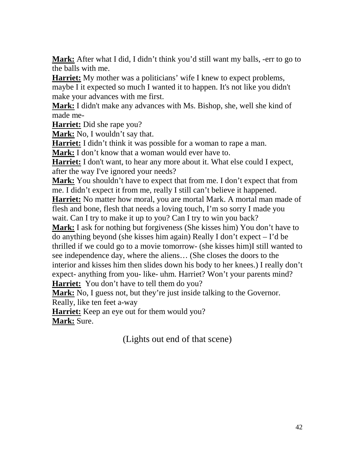**Mark:** After what I did, I didn't think you'd still want my balls, -err to go to the balls with me.

**Harriet:** My mother was a politicians' wife I knew to expect problems, maybe I it expected so much I wanted it to happen. It's not like you didn't make your advances with me first.

**Mark:** I didn't make any advances with Ms. Bishop, she, well she kind of made me-

**Harriet:** Did she rape you?

**Mark:** No, I wouldn't say that.

**Harriet:** I didn't think it was possible for a woman to rape a man.

**Mark:** I don't know that a woman would ever have to.

**Harriet:** I don't want, to hear any more about it. What else could I expect, after the way I've ignored your needs?

**Mark:** You shouldn't have to expect that from me. I don't expect that from me. I didn't expect it from me, really I still can't believe it happened.

**Harriet:** No matter how moral, you are mortal Mark. A mortal man made of flesh and bone, flesh that needs a loving touch, I'm so sorry I made you wait. Can I try to make it up to you? Can I try to win you back?

**Mark:** I ask for nothing but forgiveness (She kisses him) You don't have to do anything beyond (she kisses him again) Really I don't expect – I'd be thrilled if we could go to a movie tomorrow- (she kisses him)I still wanted to see independence day, where the aliens… (She closes the doors to the interior and kisses him then slides down his body to her knees.) I really don't expect- anything from you- like- uhm. Harriet? Won't your parents mind?

**Harriet:** You don't have to tell them do you?

**Mark:** No, I guess not, but they're just inside talking to the Governor.

Really, like ten feet a-way

**Harriet:** Keep an eye out for them would you?

**Mark:** Sure.

(Lights out end of that scene)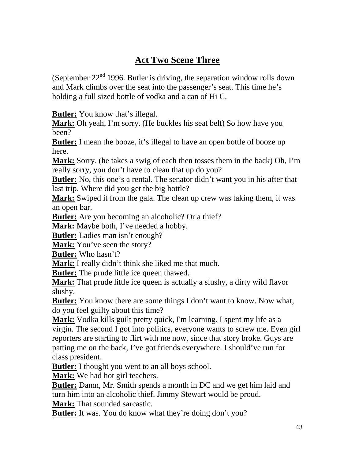## **Act Two Scene Three**

(September  $22<sup>nd</sup>$  1996. Butler is driving, the separation window rolls down and Mark climbs over the seat into the passenger's seat. This time he's holding a full sized bottle of vodka and a can of Hi C.

**Butler:** You know that's illegal.

**Mark:** Oh yeah, I'm sorry. (He buckles his seat belt) So how have you been?

**Butler:** I mean the booze, it's illegal to have an open bottle of booze up here.

**Mark:** Sorry. (he takes a swig of each then tosses them in the back) Oh, I'm really sorry, you don't have to clean that up do you?

**Butler:** No, this one's a rental. The senator didn't want you in his after that last trip. Where did you get the big bottle?

**Mark:** Swiped it from the gala. The clean up crew was taking them, it was an open bar.

**Butler:** Are you becoming an alcoholic? Or a thief?

**Mark:** Maybe both, I've needed a hobby.

**Butler:** Ladies man isn't enough?

**Mark:** You've seen the story?

**Butler:** Who hasn't?

**Mark:** I really didn't think she liked me that much.

**Butler:** The prude little ice queen thawed.

**Mark:** That prude little ice queen is actually a slushy, a dirty wild flavor slushy.

**Butler:** You know there are some things I don't want to know. Now what, do you feel guilty about this time?

**Mark:** Vodka kills guilt pretty quick, I'm learning. I spent my life as a virgin. The second I got into politics, everyone wants to screw me. Even girl reporters are starting to flirt with me now, since that story broke. Guys are patting me on the back, I've got friends everywhere. I should've run for class president.

**Butler:** I thought you went to an all boys school.

**Mark:** We had hot girl teachers.

**Butler:** Damn, Mr. Smith spends a month in DC and we get him laid and turn him into an alcoholic thief. Jimmy Stewart would be proud.

**Mark:** That sounded sarcastic.

**Butler:** It was. You do know what they're doing don't you?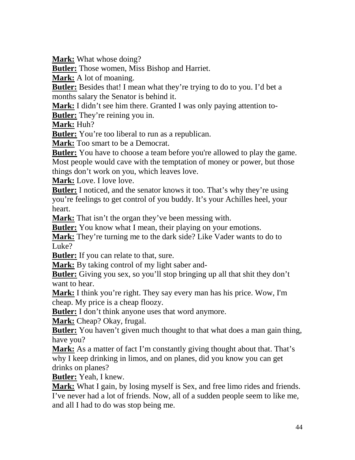**Mark:** What whose doing?

**Butler:** Those women, Miss Bishop and Harriet.

**Mark:** A lot of moaning.

**Butler:** Besides that! I mean what they're trying to do to you. I'd bet a months salary the Senator is behind it.

**Mark:** I didn't see him there. Granted I was only paying attention to-

**Butler:** They're reining you in.

**Mark:** Huh?

**Butler:** You're too liberal to run as a republican.

**Mark:** Too smart to be a Democrat.

**Butler:** You have to choose a team before you're allowed to play the game. Most people would cave with the temptation of money or power, but those things don't work on you, which leaves love.

**Mark:** Love. I love love.

**Butler:** I noticed, and the senator knows it too. That's why they're using you're feelings to get control of you buddy. It's your Achilles heel, your heart.

**Mark:** That isn't the organ they've been messing with.

**Butler:** You know what I mean, their playing on your emotions.

**Mark:** They're turning me to the dark side? Like Vader wants to do to Luke?

**Butler:** If you can relate to that, sure.

**Mark:** By taking control of my light saber and-

**Butler:** Giving you sex, so you'll stop bringing up all that shit they don't want to hear.

**Mark:** I think you're right. They say every man has his price. Wow, I'm cheap. My price is a cheap floozy.

**Butler:** I don't think anyone uses that word anymore.

**Mark:** Cheap? Okay, frugal.

**Butler:** You haven't given much thought to that what does a man gain thing, have you?

**Mark:** As a matter of fact I'm constantly giving thought about that. That's why I keep drinking in limos, and on planes, did you know you can get drinks on planes?

**Butler:** Yeah, I knew.

**Mark:** What I gain, by losing myself is Sex, and free limo rides and friends. I've never had a lot of friends. Now, all of a sudden people seem to like me, and all I had to do was stop being me.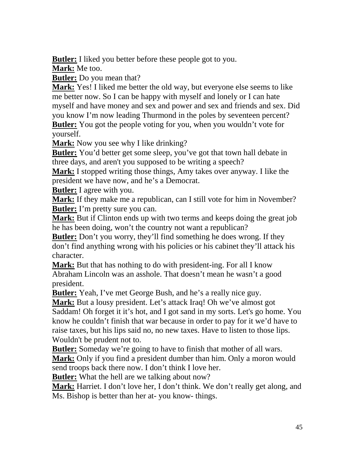**Butler:** I liked you better before these people got to you. **Mark:** Me too.

**Butler:** Do you mean that?

**Mark:** Yes! I liked me better the old way, but everyone else seems to like me better now. So I can be happy with myself and lonely or I can hate myself and have money and sex and power and sex and friends and sex. Did you know I'm now leading Thurmond in the poles by seventeen percent? **Butler:** You got the people voting for you, when you wouldn't vote for yourself.

**Mark:** Now you see why I like drinking?

**Butler:** You'd better get some sleep, you've got that town hall debate in three days, and aren't you supposed to be writing a speech?

**Mark:** I stopped writing those things, Amy takes over anyway. I like the president we have now, and he's a Democrat.

**Butler:** I agree with you.

**Mark:** If they make me a republican, can I still vote for him in November? **Butler:** I'm pretty sure you can.

**Mark:** But if Clinton ends up with two terms and keeps doing the great job he has been doing, won't the country not want a republican?

**Butler:** Don't you worry, they'll find something he does wrong. If they don't find anything wrong with his policies or his cabinet they'll attack his character.

**Mark:** But that has nothing to do with president-ing. For all I know Abraham Lincoln was an asshole. That doesn't mean he wasn't a good president.

**Butler:** Yeah, I've met George Bush, and he's a really nice guy.

**Mark:** But a lousy president. Let's attack Iraq! Oh we've almost got Saddam! Oh forget it it's hot, and I got sand in my sorts. Let's go home. You know he couldn't finish that war because in order to pay for it we'd have to raise taxes, but his lips said no, no new taxes. Have to listen to those lips. Wouldn't be prudent not to.

**Butler:** Someday we're going to have to finish that mother of all wars. **Mark:** Only if you find a president dumber than him. Only a moron would send troops back there now. I don't think I love her.

**Butler:** What the hell are we talking about now?

**Mark:** Harriet. I don't love her, I don't think. We don't really get along, and Ms. Bishop is better than her at- you know- things.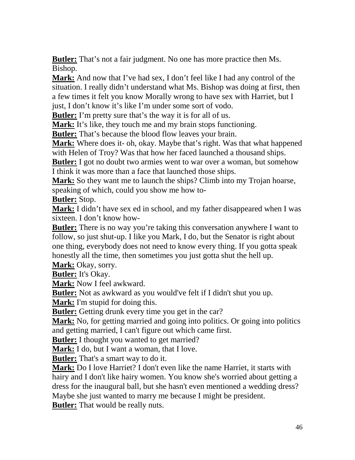**Butler:** That's not a fair judgment. No one has more practice then Ms. Bishop.

**Mark:** And now that I've had sex, I don't feel like I had any control of the situation. I really didn't understand what Ms. Bishop was doing at first, then a few times it felt you know Morally wrong to have sex with Harriet, but I just, I don't know it's like I'm under some sort of vodo.

**Butler:** I'm pretty sure that's the way it is for all of us.

**Mark:** It's like, they touch me and my brain stops functioning.

**Butler:** That's because the blood flow leaves your brain.

**Mark:** Where does it- oh, okay. Maybe that's right. Was that what happened with Helen of Troy? Was that how her faced launched a thousand ships.

**Butler:** I got no doubt two armies went to war over a woman, but somehow I think it was more than a face that launched those ships.

**Mark:** So they want me to launch the ships? Climb into my Trojan hoarse, speaking of which, could you show me how to-

**Butler:** Stop.

**Mark:** I didn't have sex ed in school, and my father disappeared when I was sixteen. I don't know how-

**Butler:** There is no way you're taking this conversation anywhere I want to follow, so just shut-up. I like you Mark, I do, but the Senator is right about one thing, everybody does not need to know every thing. If you gotta speak honestly all the time, then sometimes you just gotta shut the hell up.

**Mark:** Okay, sorry.

**Butler:** It's Okay.

**Mark:** Now I feel awkward.

**Butler:** Not as awkward as you would've felt if I didn't shut you up.

**Mark:** I'm stupid for doing this.

**Butler:** Getting drunk every time you get in the car?

**Mark:** No, for getting married and going into politics. Or going into politics and getting married, I can't figure out which came first.

**Butler:** I thought you wanted to get married?

**Mark:** I do, but I want a woman, that I love.

**Butler:** That's a smart way to do it.

**Mark:** Do I love Harriet? I don't even like the name Harriet, it starts with hairy and I don't like hairy women. You know she's worried about getting a dress for the inaugural ball, but she hasn't even mentioned a wedding dress? Maybe she just wanted to marry me because I might be president.

**Butler:** That would be really nuts.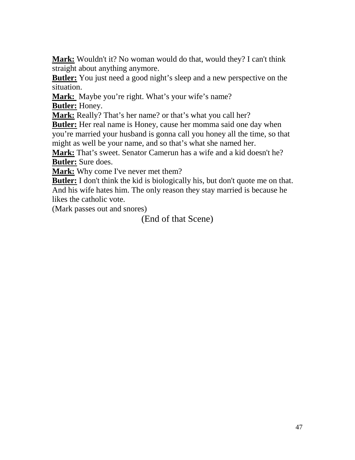**Mark:** Wouldn't it? No woman would do that, would they? I can't think straight about anything anymore.

**Butler:** You just need a good night's sleep and a new perspective on the situation.

Mark: Maybe you're right. What's your wife's name? **Butler:** Honey.

**Mark:** Really? That's her name? or that's what you call her?

**Butler:** Her real name is Honey, cause her momma said one day when you're married your husband is gonna call you honey all the time, so that might as well be your name, and so that's what she named her.

**Mark:** That's sweet. Senator Camerun has a wife and a kid doesn't he? **Butler:** Sure does.

**Mark:** Why come I've never met them?

**Butler:** I don't think the kid is biologically his, but don't quote me on that. And his wife hates him. The only reason they stay married is because he likes the catholic vote.

(Mark passes out and snores)

(End of that Scene)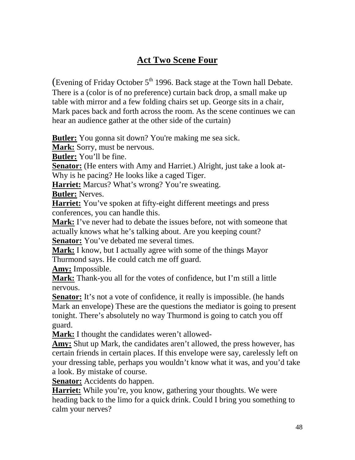## **Act Two Scene Four**

(Evening of Friday October  $5<sup>th</sup>$  1996. Back stage at the Town hall Debate. There is a (color is of no preference) curtain back drop, a small make up table with mirror and a few folding chairs set up. George sits in a chair, Mark paces back and forth across the room. As the scene continues we can hear an audience gather at the other side of the curtain)

**Butler:** You gonna sit down? You're making me sea sick.

**Mark:** Sorry, must be nervous.

**Butler:** You'll be fine.

**Senator:** (He enters with Amy and Harriet.) Alright, just take a look at-Why is he pacing? He looks like a caged Tiger.

**Harriet:** Marcus? What's wrong? You're sweating.

**Butler:** Nerves.

**Harriet:** You've spoken at fifty-eight different meetings and press conferences, you can handle this.

**Mark:** I've never had to debate the issues before, not with someone that actually knows what he's talking about. Are you keeping count?

**Senator:** You've debated me several times.

**Mark:** I know, but I actually agree with some of the things Mayor Thurmond says. He could catch me off guard.

**Amy:** Impossible.

**Mark:** Thank-you all for the votes of confidence, but I'm still a little nervous.

**Senator:** It's not a vote of confidence, it really is impossible. (he hands Mark an envelope) These are the questions the mediator is going to present tonight. There's absolutely no way Thurmond is going to catch you off guard.

**Mark:** I thought the candidates weren't allowed-

**Amy:** Shut up Mark, the candidates aren't allowed, the press however, has certain friends in certain places. If this envelope were say, carelessly left on your dressing table, perhaps you wouldn't know what it was, and you'd take a look. By mistake of course.

**Senator:** Accidents do happen.

**Harriet:** While you're, you know, gathering your thoughts. We were heading back to the limo for a quick drink. Could I bring you something to calm your nerves?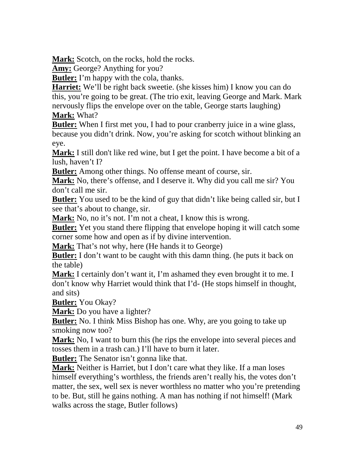**Mark:** Scotch, on the rocks, hold the rocks.

**Amy:** George? Anything for you?

**Butler:** I'm happy with the cola, thanks.

**Harriet:** We'll be right back sweetie. (she kisses him) I know you can do this, you're going to be great. (The trio exit, leaving George and Mark. Mark nervously flips the envelope over on the table, George starts laughing) **Mark:** What?

**Butler:** When I first met you, I had to pour cranberry juice in a wine glass, because you didn't drink. Now, you're asking for scotch without blinking an eye.

**Mark:** I still don't like red wine, but I get the point. I have become a bit of a lush, haven't I?

**Butler:** Among other things. No offense meant of course, sir.

**Mark:** No, there's offense, and I deserve it. Why did you call me sir? You don't call me sir.

**Butler:** You used to be the kind of guy that didn't like being called sir, but I see that's about to change, sir.

**Mark:** No, no it's not. I'm not a cheat, I know this is wrong.

**Butler:** Yet you stand there flipping that envelope hoping it will catch some corner some how and open as if by divine intervention.

**Mark:** That's not why, here (He hands it to George)

**Butler:** I don't want to be caught with this damn thing. (he puts it back on the table)

**Mark:** I certainly don't want it, I'm ashamed they even brought it to me. I don't know why Harriet would think that I'd- (He stops himself in thought, and sits)

**Butler:** You Okay?

**Mark:** Do you have a lighter?

**Butler:** No. I think Miss Bishop has one. Why, are you going to take up smoking now too?

**Mark:** No, I want to burn this (he rips the envelope into several pieces and tosses them in a trash can.) I'll have to burn it later.

**Butler:** The Senator isn't gonna like that.

**Mark:** Neither is Harriet, but I don't care what they like. If a man loses himself everything's worthless, the friends aren't really his, the votes don't matter, the sex, well sex is never worthless no matter who you're pretending to be. But, still he gains nothing. A man has nothing if not himself! (Mark walks across the stage, Butler follows)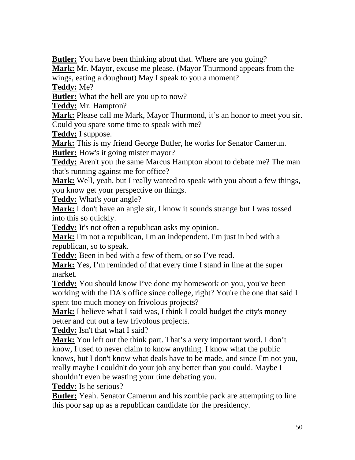**Butler:** You have been thinking about that. Where are you going?

**Mark:** Mr. Mayor, excuse me please. (Mayor Thurmond appears from the wings, eating a doughnut) May I speak to you a moment?

**Teddy:** Me?

**Butler:** What the hell are you up to now?

**Teddy:** Mr. Hampton?

**Mark:** Please call me Mark, Mayor Thurmond, it's an honor to meet you sir. Could you spare some time to speak with me?

**Teddy:** I suppose.

**Mark:** This is my friend George Butler, he works for Senator Camerun.

**Butler:** How's it going mister mayor?

**Teddy:** Aren't you the same Marcus Hampton about to debate me? The man that's running against me for office?

**Mark:** Well, yeah, but I really wanted to speak with you about a few things, you know get your perspective on things.

**Teddy:** What's your angle?

**Mark:** I don't have an angle sir, I know it sounds strange but I was tossed into this so quickly.

**Teddy:** It's not often a republican asks my opinion.

**Mark:** I'm not a republican, I'm an independent. I'm just in bed with a republican, so to speak.

**Teddy:** Been in bed with a few of them, or so I've read.

**Mark:** Yes, I'm reminded of that every time I stand in line at the super market.

**Teddy:** You should know I've done my homework on you, you've been working with the DA's office since college, right? You're the one that said I spent too much money on frivolous projects?

**Mark:** I believe what I said was, I think I could budget the city's money better and cut out a few frivolous projects.

**Teddy:** Isn't that what I said?

**Mark:** You left out the think part. That's a very important word. I don't know, I used to never claim to know anything. I know what the public knows, but I don't know what deals have to be made, and since I'm not you, really maybe I couldn't do your job any better than you could. Maybe I shouldn't even be wasting your time debating you.

**Teddy:** Is he serious?

**Butler:** Yeah. Senator Camerun and his zombie pack are attempting to line this poor sap up as a republican candidate for the presidency.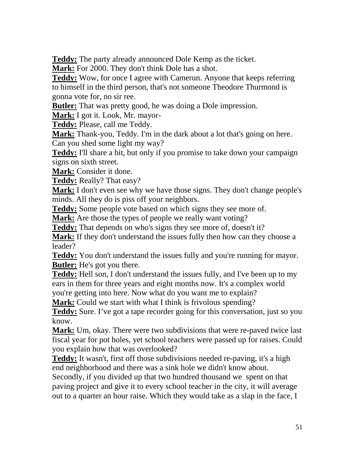**Teddy:** The party already announced Dole Kemp as the ticket.

**Mark:** For 2000. They don't think Dole has a shot.

**Teddy:** Wow, for once I agree with Camerun. Anyone that keeps referring to himself in the third person, that's not someone Theodore Thurmond is gonna vote for, no sir ree.

**Butler:** That was pretty good, he was doing a Dole impression.

**Mark:** I got it. Look, Mr. mayor-

**Teddy:** Please, call me Teddy.

**Mark:** Thank-you, Teddy. I'm in the dark about a lot that's going on here. Can you shed some light my way?

**Teddy:** I'll share a bit, but only if you promise to take down your campaign signs on sixth street.

**Mark:** Consider it done.

**Teddy:** Really? That easy?

**Mark:** I don't even see why we have those signs. They don't change people's minds. All they do is piss off your neighbors.

**Teddy:** Some people vote based on which signs they see more of.

**Mark:** Are those the types of people we really want voting?

**Teddy:** That depends on who's signs they see more of, doesn't it?

**Mark:** If they don't understand the issues fully then how can they choose a leader?

**Teddy:** You don't understand the issues fully and you're running for mayor. **Butler:** He's got you there.

**Teddy:** Hell son, I don't understand the issues fully, and I've been up to my ears in them for three years and eight months now. It's a complex world you're getting into here. Now what do you want me to explain?

**Mark:** Could we start with what I think is frivolous spending?

**Teddy:** Sure. I've got a tape recorder going for this conversation, just so you know.

**Mark:** Um, okay. There were two subdivisions that were re-paved twice last fiscal year for pot holes, yet school teachers were passed up for raises. Could you explain how that was overlooked?

**Teddy:** It wasn't, first off those subdivisions needed re-paving, it's a high end neighborhood and there was a sink hole we didn't know about.

Secondly, if you divided up that two hundred thousand we spent on that paving project and give it to every school teacher in the city, it will average out to a quarter an hour raise. Which they would take as a slap in the face, I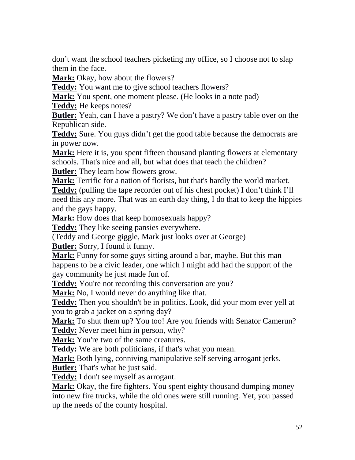don't want the school teachers picketing my office, so I choose not to slap them in the face.

**Mark:** Okay, how about the flowers?

**Teddy:** You want me to give school teachers flowers?

**Mark:** You spent, one moment please. (He looks in a note pad)

**Teddy:** He keeps notes?

**Butler:** Yeah, can I have a pastry? We don't have a pastry table over on the Republican side.

**Teddy:** Sure. You guys didn't get the good table because the democrats are in power now.

**Mark:** Here it is, you spent fifteen thousand planting flowers at elementary schools. That's nice and all, but what does that teach the children? **Butler:** They learn how flowers grow.

**Mark:** Terrific for a nation of florists, but that's hardly the world market. **Teddy:** (pulling the tape recorder out of his chest pocket) I don't think I'll need this any more. That was an earth day thing, I do that to keep the hippies and the gays happy.

**Mark:** How does that keep homosexuals happy?

**Teddy:** They like seeing pansies everywhere.

(Teddy and George giggle, Mark just looks over at George)

**Butler:** Sorry, I found it funny.

**Mark:** Funny for some guys sitting around a bar, maybe. But this man happens to be a civic leader, one which I might add had the support of the gay community he just made fun of.

Teddy: You're not recording this conversation are you?

**Mark:** No, I would never do anything like that.

**Teddy:** Then you shouldn't be in politics. Look, did your mom ever yell at you to grab a jacket on a spring day?

**Mark:** To shut them up? You too! Are you friends with Senator Camerun? **Teddy:** Never meet him in person, why?

Mark: You're two of the same creatures.

**Teddy:** We are both politicians, if that's what you mean.

**Mark:** Both lying, conniving manipulative self serving arrogant jerks.

**Butler:** That's what he just said.

**Teddy:** I don't see myself as arrogant.

**Mark:** Okay, the fire fighters. You spent eighty thousand dumping money into new fire trucks, while the old ones were still running. Yet, you passed up the needs of the county hospital.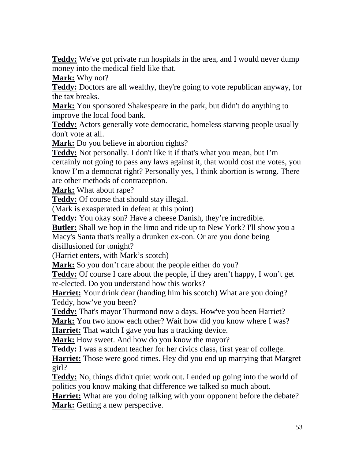**Teddy:** We've got private run hospitals in the area, and I would never dump money into the medical field like that.

**Mark:** Why not?

**Teddy:** Doctors are all wealthy, they're going to vote republican anyway, for the tax breaks.

**Mark:** You sponsored Shakespeare in the park, but didn't do anything to improve the local food bank.

**Teddy:** Actors generally vote democratic, homeless starving people usually don't vote at all.

**Mark:** Do you believe in abortion rights?

**Teddy:** Not personally. I don't like it if that's what you mean, but I'm certainly not going to pass any laws against it, that would cost me votes, you know I'm a democrat right? Personally yes, I think abortion is wrong. There are other methods of contraception.

**Mark:** What about rape?

**Teddy:** Of course that should stay illegal.

(Mark is exasperated in defeat at this point)

**Teddy:** You okay son? Have a cheese Danish, they're incredible.

**Butler:** Shall we hop in the limo and ride up to New York? I'll show you a

Macy's Santa that's really a drunken ex-con. Or are you done being disillusioned for tonight?

(Harriet enters, with Mark's scotch)

**Mark:** So you don't care about the people either do you?

**Teddy:** Of course I care about the people, if they aren't happy, I won't get re-elected. Do you understand how this works?

**Harriet:** Your drink dear (handing him his scotch) What are you doing? Teddy, how've you been?

**Teddy:** That's mayor Thurmond now a days. How've you been Harriet?

**Mark:** You two know each other? Wait how did you know where I was? **Harriet:** That watch I gave you has a tracking device.

**Mark:** How sweet. And how do you know the mayor?

**Teddy:** I was a student teacher for her civics class, first year of college.

**Harriet:** Those were good times. Hey did you end up marrying that Margret girl?

**Teddy:** No, things didn't quiet work out. I ended up going into the world of politics you know making that difference we talked so much about.

**Harriet:** What are you doing talking with your opponent before the debate? **Mark:** Getting a new perspective.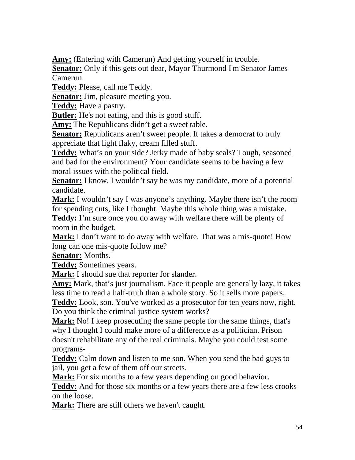**Amy:** (Entering with Camerun) And getting yourself in trouble.

**Senator:** Only if this gets out dear, Mayor Thurmond I'm Senator James Camerun.

**Teddy:** Please, call me Teddy.

**Senator:** Jim, pleasure meeting you.

**Teddy:** Have a pastry.

**Butler:** He's not eating, and this is good stuff.

**Amy:** The Republicans didn't get a sweet table.

**Senator:** Republicans aren't sweet people. It takes a democrat to truly appreciate that light flaky, cream filled stuff.

**Teddy:** What's on your side? Jerky made of baby seals? Tough, seasoned and bad for the environment? Your candidate seems to be having a few moral issues with the political field.

**Senator:** I know. I wouldn't say he was my candidate, more of a potential candidate.

**Mark:** I wouldn't say I was anyone's anything. Maybe there isn't the room for spending cuts, like I thought. Maybe this whole thing was a mistake.

**Teddy:** I'm sure once you do away with welfare there will be plenty of room in the budget.

**Mark:** I don't want to do away with welfare. That was a mis-quote! How long can one mis-quote follow me?

**Senator:** Months.

**Teddy:** Sometimes years.

**Mark:** I should sue that reporter for slander.

**Amy:** Mark, that's just journalism. Face it people are generally lazy, it takes less time to read a half-truth than a whole story. So it sells more papers.

**Teddy:** Look, son. You've worked as a prosecutor for ten years now, right. Do you think the criminal justice system works?

**Mark:** No! I keep prosecuting the same people for the same things, that's why I thought I could make more of a difference as a politician. Prison doesn't rehabilitate any of the real criminals. Maybe you could test some programs-

**Teddy:** Calm down and listen to me son. When you send the bad guys to jail, you get a few of them off our streets.

**Mark:** For six months to a few years depending on good behavior.

**Teddy:** And for those six months or a few years there are a few less crooks on the loose.

**Mark:** There are still others we haven't caught.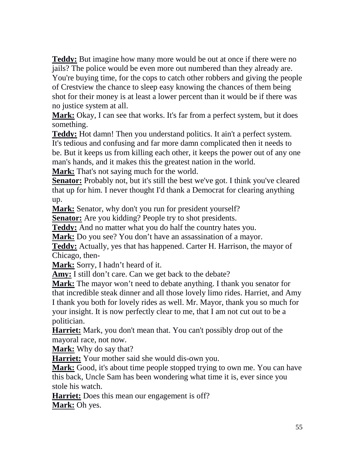**Teddy:** But imagine how many more would be out at once if there were no jails? The police would be even more out numbered than they already are. You're buying time, for the cops to catch other robbers and giving the people of Crestview the chance to sleep easy knowing the chances of them being shot for their money is at least a lower percent than it would be if there was no justice system at all.

**Mark:** Okay, I can see that works. It's far from a perfect system, but it does something.

**Teddy:** Hot damn! Then you understand politics. It ain't a perfect system. It's tedious and confusing and far more damn complicated then it needs to be. But it keeps us from killing each other, it keeps the power out of any one man's hands, and it makes this the greatest nation in the world.

**Mark:** That's not saying much for the world.

**Senator:** Probably not, but it's still the best we've got. I think you've cleared that up for him. I never thought I'd thank a Democrat for clearing anything up.

**Mark:** Senator, why don't you run for president yourself?

**Senator:** Are you kidding? People try to shot presidents.

**Teddy:** And no matter what you do half the country hates you.

**Mark:** Do you see? You don't have an assassination of a mayor.

**Teddy:** Actually, yes that has happened. Carter H. Harrison, the mayor of Chicago, then-

**Mark:** Sorry, I hadn't heard of it.

**Amy:** I still don't care. Can we get back to the debate?

**Mark:** The mayor won't need to debate anything. I thank you senator for that incredible steak dinner and all those lovely limo rides. Harriet, and Amy I thank you both for lovely rides as well. Mr. Mayor, thank you so much for your insight. It is now perfectly clear to me, that I am not cut out to be a politician.

**Harriet:** Mark, you don't mean that. You can't possibly drop out of the mayoral race, not now.

**Mark:** Why do say that?

**Harriet:** Your mother said she would dis-own you.

**Mark:** Good, it's about time people stopped trying to own me. You can have this back, Uncle Sam has been wondering what time it is, ever since you stole his watch.

**Harriet:** Does this mean our engagement is off? **Mark:** Oh yes.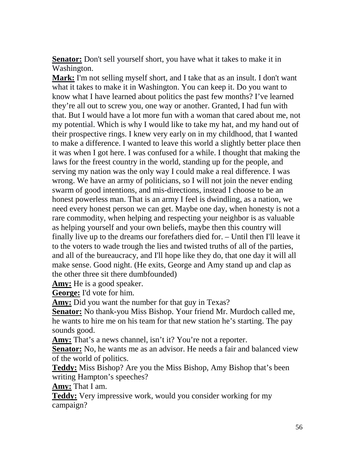**Senator:** Don't sell yourself short, you have what it takes to make it in Washington.

**Mark:** I'm not selling myself short, and I take that as an insult. I don't want what it takes to make it in Washington. You can keep it. Do you want to know what I have learned about politics the past few months? I've learned they're all out to screw you, one way or another. Granted, I had fun with that. But I would have a lot more fun with a woman that cared about me, not my potential. Which is why I would like to take my hat, and my hand out of their prospective rings. I knew very early on in my childhood, that I wanted to make a difference. I wanted to leave this world a slightly better place then it was when I got here. I was confused for a while. I thought that making the laws for the freest country in the world, standing up for the people, and serving my nation was the only way I could make a real difference. I was wrong. We have an army of politicians, so I will not join the never ending swarm of good intentions, and mis-directions, instead I choose to be an honest powerless man. That is an army I feel is dwindling, as a nation, we need every honest person we can get. Maybe one day, when honesty is not a rare commodity, when helping and respecting your neighbor is as valuable as helping yourself and your own beliefs, maybe then this country will finally live up to the dreams our forefathers died for. – Until then I'll leave it to the voters to wade trough the lies and twisted truths of all of the parties, and all of the bureaucracy, and I'll hope like they do, that one day it will all make sense. Good night. (He exits, George and Amy stand up and clap as the other three sit there dumbfounded)

**Amy:** He is a good speaker.

**George:** I'd vote for him.

**Amy:** Did you want the number for that guy in Texas?

**Senator:** No thank-you Miss Bishop. Your friend Mr. Murdoch called me, he wants to hire me on his team for that new station he's starting. The pay sounds good.

Amy: That's a news channel, isn't it? You're not a reporter.

**Senator:** No, he wants me as an advisor. He needs a fair and balanced view of the world of politics.

**Teddy:** Miss Bishop? Are you the Miss Bishop, Amy Bishop that's been writing Hampton's speeches?

**Amy:** That I am.

**Teddy:** Very impressive work, would you consider working for my campaign?